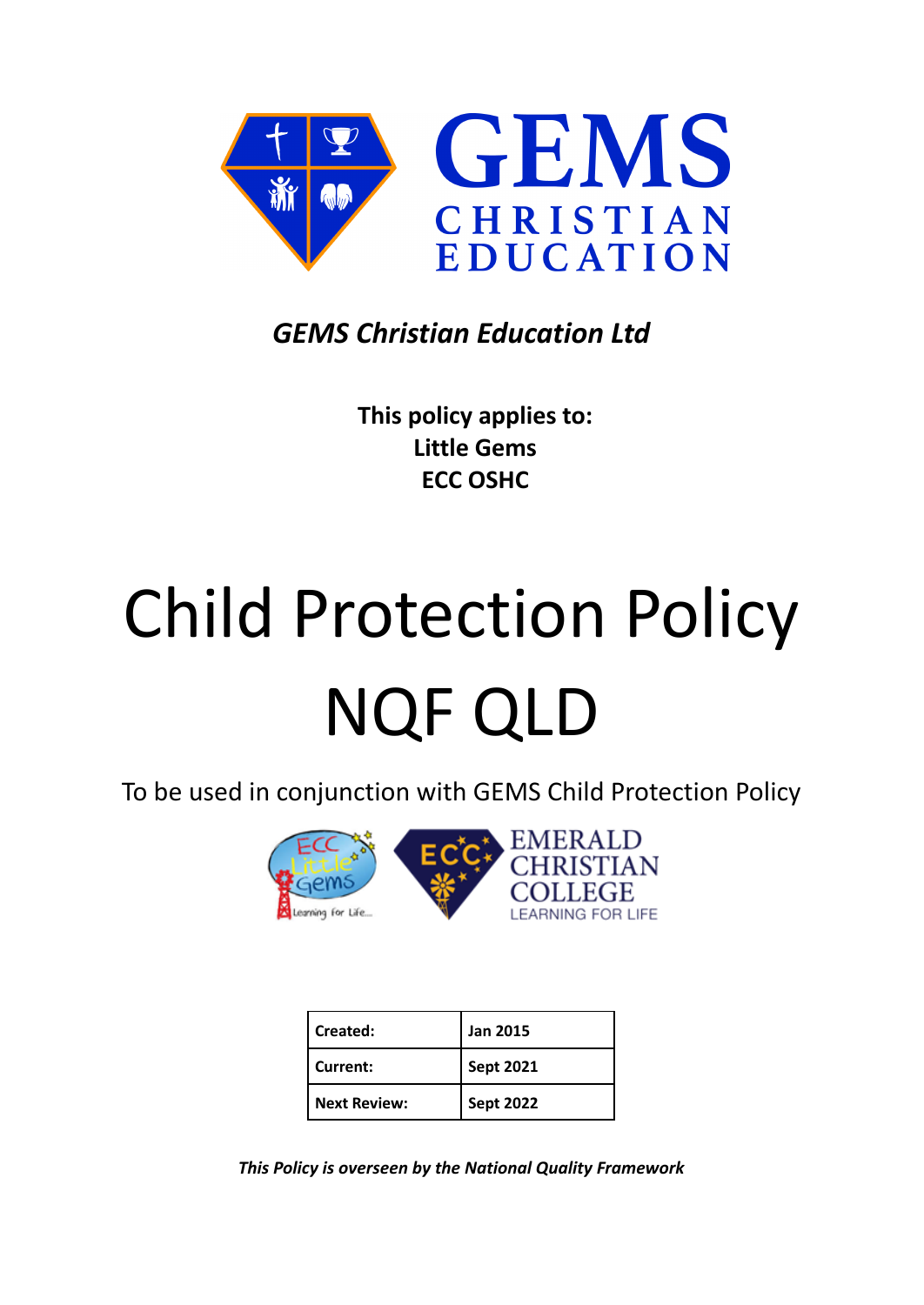

# *GEMS Christian Education Ltd*

**This policy applies to: Little Gems ECC OSHC**

# Child Protection Policy NQF QLD

To be used in conjunction with GEMS Child Protection Policy



| Created:            | <b>Jan 2015</b>  |
|---------------------|------------------|
| Current:            | <b>Sept 2021</b> |
| <b>Next Review:</b> | <b>Sept 2022</b> |

*This Policy is overseen by the National Quality Framework*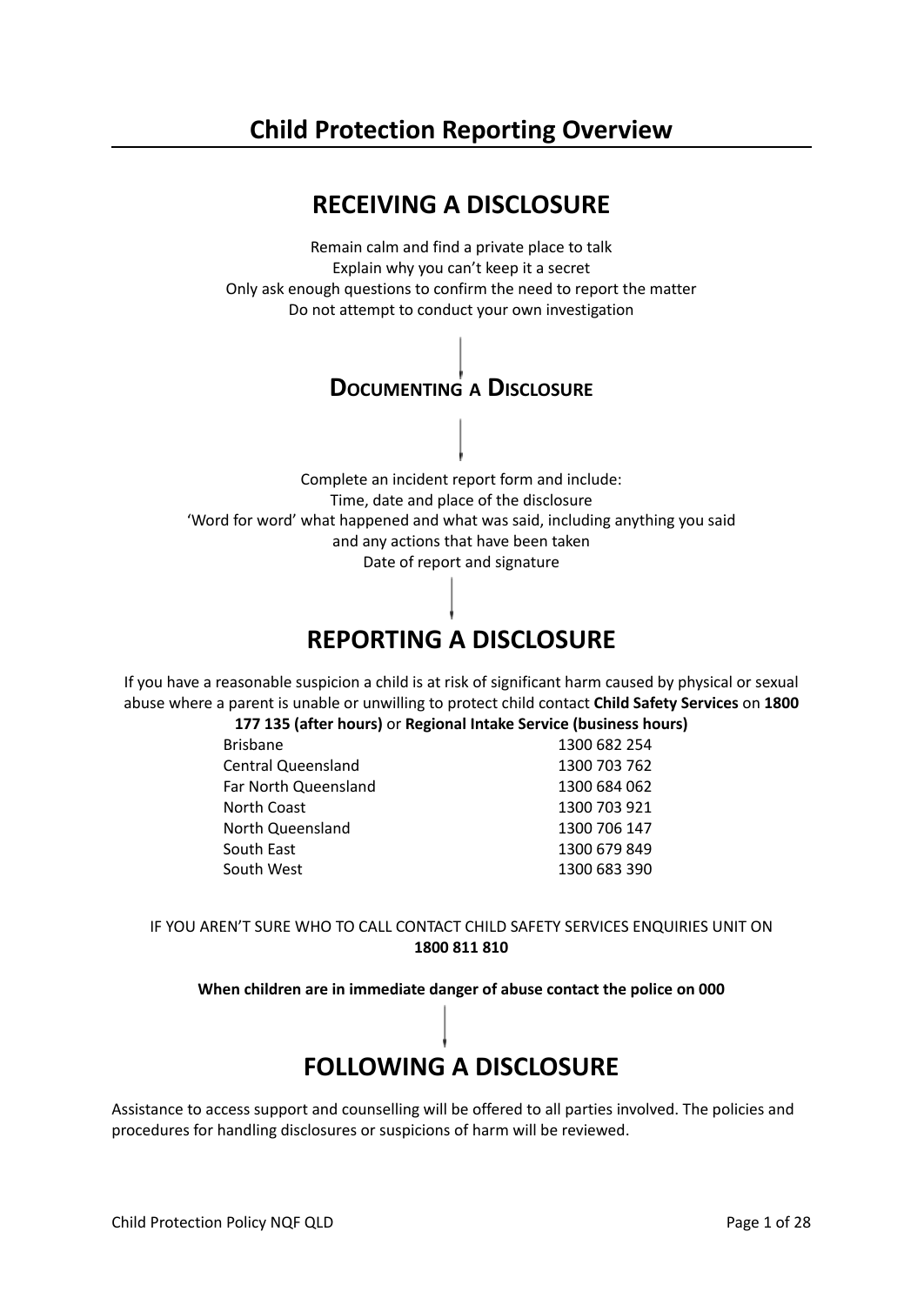# **Child Protection Reporting Overview**



Complete an incident report form and include: Time, date and place of the disclosure 'Word for word' what happened and what was said, including anything you said and any actions that have been taken Date of report and signature

# **REPORTING A DISCLOSURE**

If you have a reasonable suspicion a child is at risk of significant harm caused by physical or sexual abuse where a parent is unable or unwilling to protect child contact **Child Safety Services** on **1800**

**177 135 (after hours)** or **Regional Intake Service (business hours)**

| <b>Brisbane</b>      | 1300 682 254 |
|----------------------|--------------|
| Central Queensland   | 1300 703 762 |
| Far North Queensland | 1300 684 062 |
| North Coast          | 1300 703 921 |
| North Queensland     | 1300 706 147 |
| South East           | 1300 679 849 |
| South West           | 1300 683 390 |

IF YOU AREN'T SURE WHO TO CALL CONTACT CHILD SAFETY SERVICES ENQUIRIES UNIT ON **1800 811 810**

**When children are in immediate danger of abuse contact the police on 000**

# **FOLLOWING A DISCLOSURE**

Assistance to access support and counselling will be offered to all parties involved. The policies and procedures for handling disclosures or suspicions of harm will be reviewed.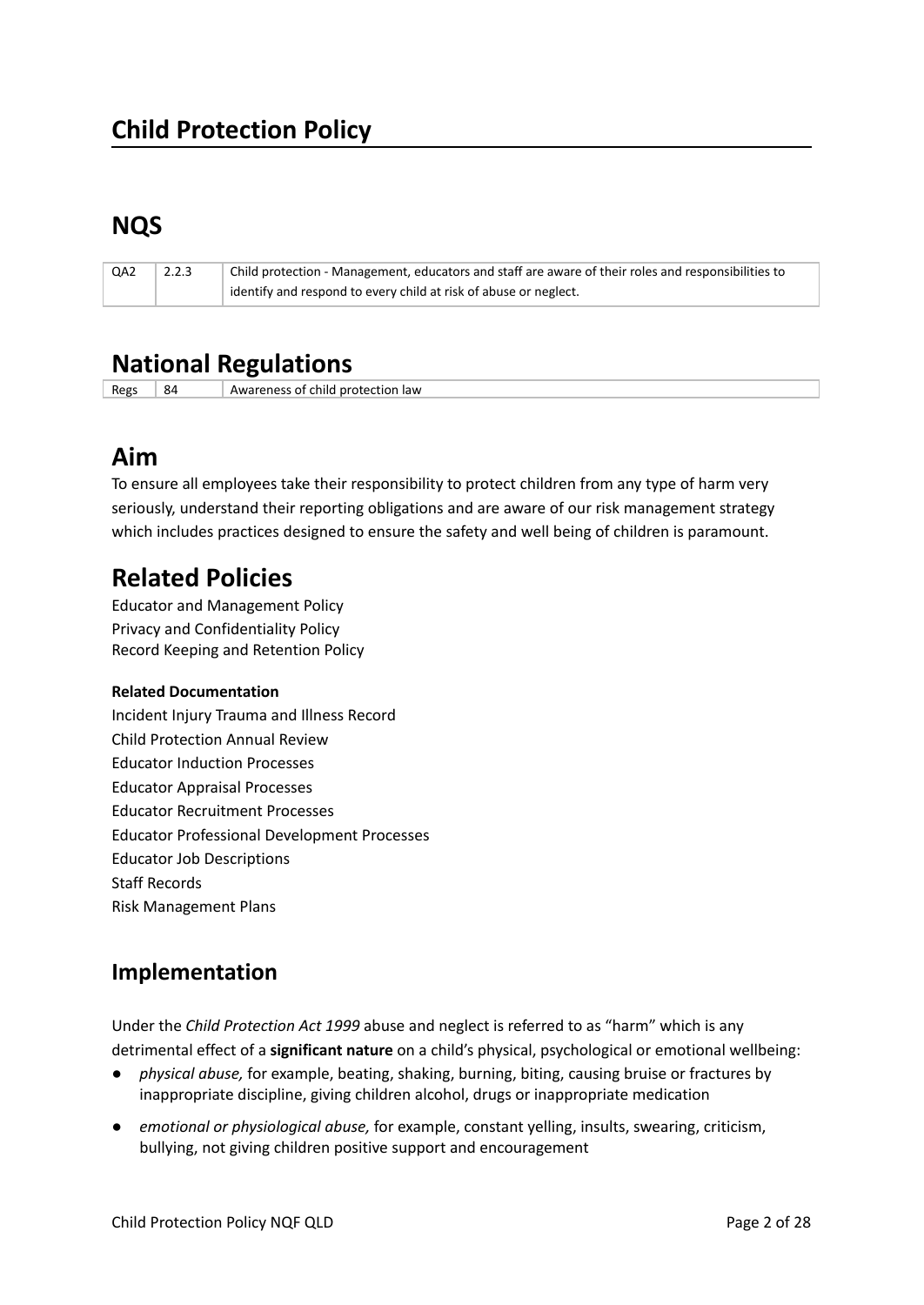# **NQS**

| QA2 | 2.2.3 | Child protection - Management, educators and staff are aware of their roles and responsibilities to |
|-----|-------|-----------------------------------------------------------------------------------------------------|
|     |       | identify and respond to every child at risk of abuse or neglect.                                    |

# **National Regulations**

Regs 84 Awareness of child protection law

# **Aim**

To ensure all employees take their responsibility to protect children from any type of harm very seriously, understand their reporting obligations and are aware of our risk management strategy which includes practices designed to ensure the safety and well being of children is paramount.

# **Related Policies**

Educator and Management Policy Privacy and Confidentiality Policy Record Keeping and Retention Policy

### **Related Documentation**

Incident Injury Trauma and Illness Record Child Protection Annual Review Educator Induction Processes Educator Appraisal Processes Educator Recruitment Processes Educator Professional Development Processes Educator Job Descriptions Staff Records Risk Management Plans

## **Implementation**

Under the *Child Protection Act 1999* abuse and neglect is referred to as "harm" which is any detrimental effect of a **significant nature** on a child's physical, psychological or emotional wellbeing:

- *physical abuse,* for example, beating, shaking, burning, biting, causing bruise or fractures by inappropriate discipline, giving children alcohol, drugs or inappropriate medication
- *emotional or physiological abuse,* for example, constant yelling, insults, swearing, criticism, bullying, not giving children positive support and encouragement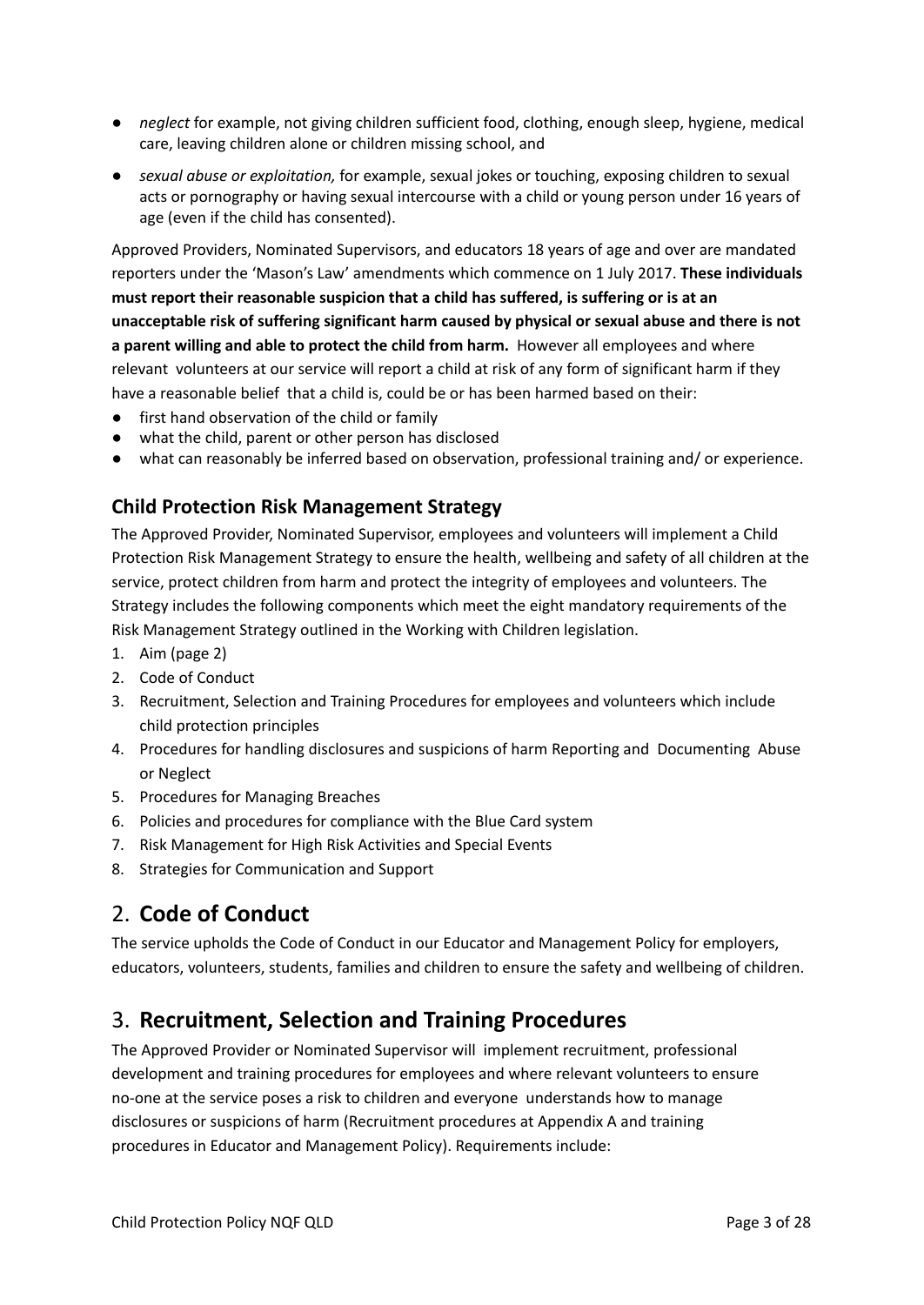- *neglect* for example, not giving children sufficient food, clothing, enough sleep, hygiene, medical care, leaving children alone or children missing school, and
- *sexual abuse or exploitation,* for example, sexual jokes or touching, exposing children to sexual acts or pornography or having sexual intercourse with a child or young person under 16 years of age (even if the child has consented).

Approved Providers, Nominated Supervisors, and educators 18 years of age and over are mandated reporters under the 'Mason's Law' amendments which commence on 1 July 2017. **These individuals must report their reasonable suspicion that a child has suffered, is suffering or is at an unacceptable risk of suffering significant harm caused by physical or sexual abuse and there is not a parent willing and able to protect the child from harm.** However all employees and where relevant volunteers at our service will report a child at risk of any form of significant harm if they have a reasonable belief that a child is, could be or has been harmed based on their:

- first hand observation of the child or family
- what the child, parent or other person has disclosed
- what can reasonably be inferred based on observation, professional training and/ or experience.

### **Child Protection Risk Management Strategy**

The Approved Provider, Nominated Supervisor, employees and volunteers will implement a Child Protection Risk Management Strategy to ensure the health, wellbeing and safety of all children at the service, protect children from harm and protect the integrity of employees and volunteers. The Strategy includes the following components which meet the eight mandatory requirements of the Risk Management Strategy outlined in the Working with Children legislation.

- 1. Aim (page 2)
- 2. Code of Conduct
- 3. Recruitment, Selection and Training Procedures for employees and volunteers which include child protection principles
- 4. Procedures for handling disclosures and suspicions of harm Reporting and Documenting Abuse or Neglect
- 5. Procedures for Managing Breaches
- 6. Policies and procedures for compliance with the Blue Card system
- 7. Risk Management for High Risk Activities and Special Events
- 8. Strategies for Communication and Support

## 2. **Code of Conduct**

The service upholds the Code of Conduct in our Educator and Management Policy for employers, educators, volunteers, students, families and children to ensure the safety and wellbeing of children.

### 3. **Recruitment, Selection and Training Procedures**

The Approved Provider or Nominated Supervisor will implement recruitment, professional development and training procedures for employees and where relevant volunteers to ensure no-one at the service poses a risk to children and everyone understands how to manage disclosures or suspicions of harm (Recruitment procedures at Appendix A and training procedures in Educator and Management Policy). Requirements include: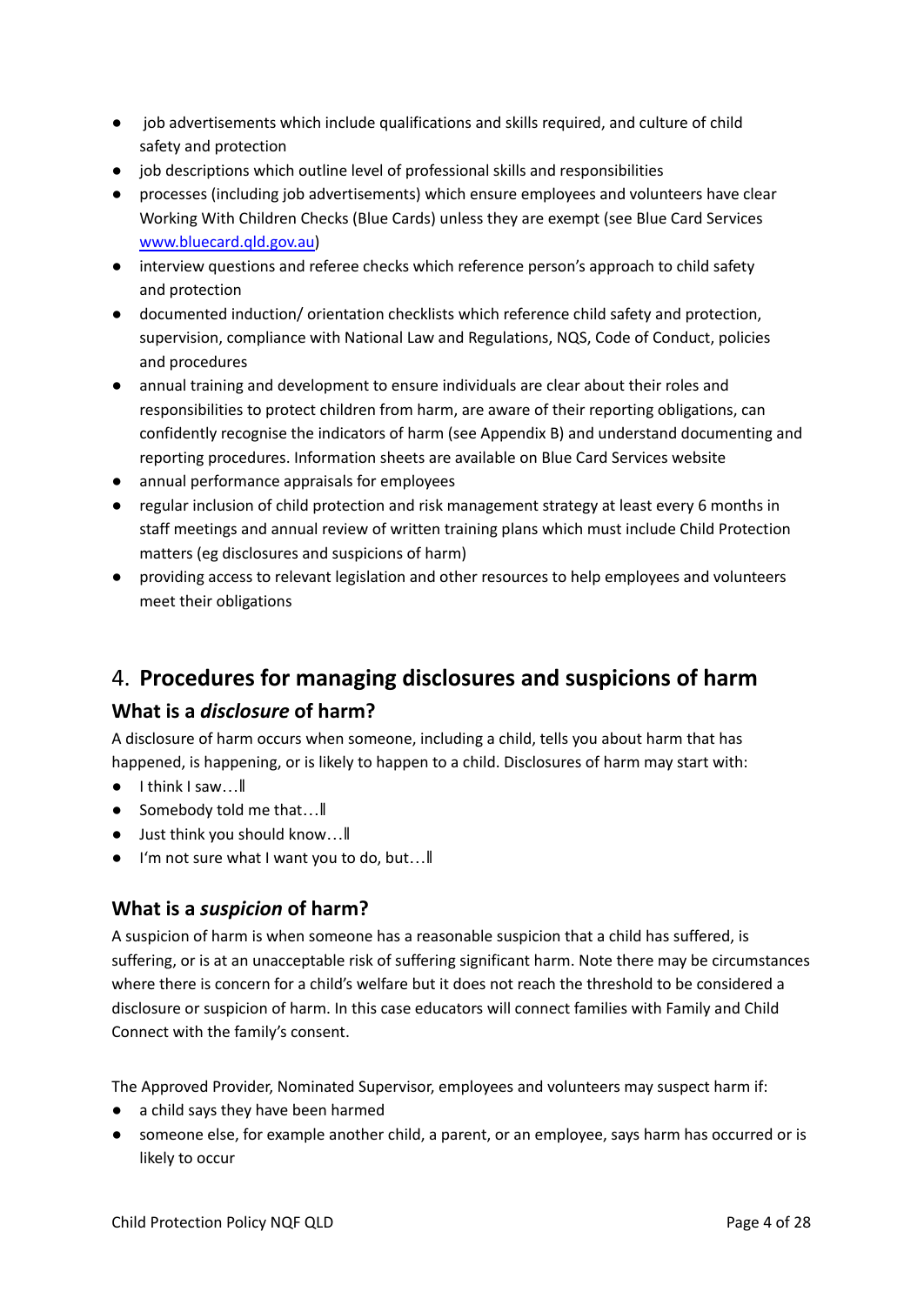- job advertisements which include qualifications and skills required, and culture of child safety and protection
- job descriptions which outline level of professional skills and responsibilities
- processes (including job advertisements) which ensure employees and volunteers have clear Working With Children Checks (Blue Cards) unless they are exempt (see Blue Card Services [www.bluecard.qld.gov.au](http://www.bluecard.qld.gov.au))
- interview questions and referee checks which reference person's approach to child safety and protection
- documented induction/ orientation checklists which reference child safety and protection, supervision, compliance with National Law and Regulations, NQS, Code of Conduct, policies and procedures
- annual training and development to ensure individuals are clear about their roles and responsibilities to protect children from harm, are aware of their reporting obligations, can confidently recognise the indicators of harm (see Appendix B) and understand documenting and reporting procedures. Information sheets are available on Blue Card Services website
- annual performance appraisals for employees
- regular inclusion of child protection and risk management strategy at least every 6 months in staff meetings and annual review of written training plans which must include Child Protection matters (eg disclosures and suspicions of harm)
- providing access to relevant legislation and other resources to help employees and volunteers meet their obligations

### 4. **Procedures for managing disclosures and suspicions of harm**

### **What is a** *disclosure* **of harm?**

A disclosure of harm occurs when someone, including a child, tells you about harm that has happened, is happening, or is likely to happen to a child. Disclosures of harm may start with:

- I think I saw...
- Somebody told me that...
- Just think you should know...
- I'm not sure what I want you to do, but…‖

### **What is a** *suspicion* **of harm?**

A suspicion of harm is when someone has a reasonable suspicion that a child has suffered, is suffering, or is at an unacceptable risk of suffering significant harm. Note there may be circumstances where there is concern for a child's welfare but it does not reach the threshold to be considered a disclosure or suspicion of harm. In this case educators will connect families with Family and Child Connect with the family's consent.

The Approved Provider, Nominated Supervisor, employees and volunteers may suspect harm if:

- a child says they have been harmed
- someone else, for example another child, a parent, or an employee, says harm has occurred or is likely to occur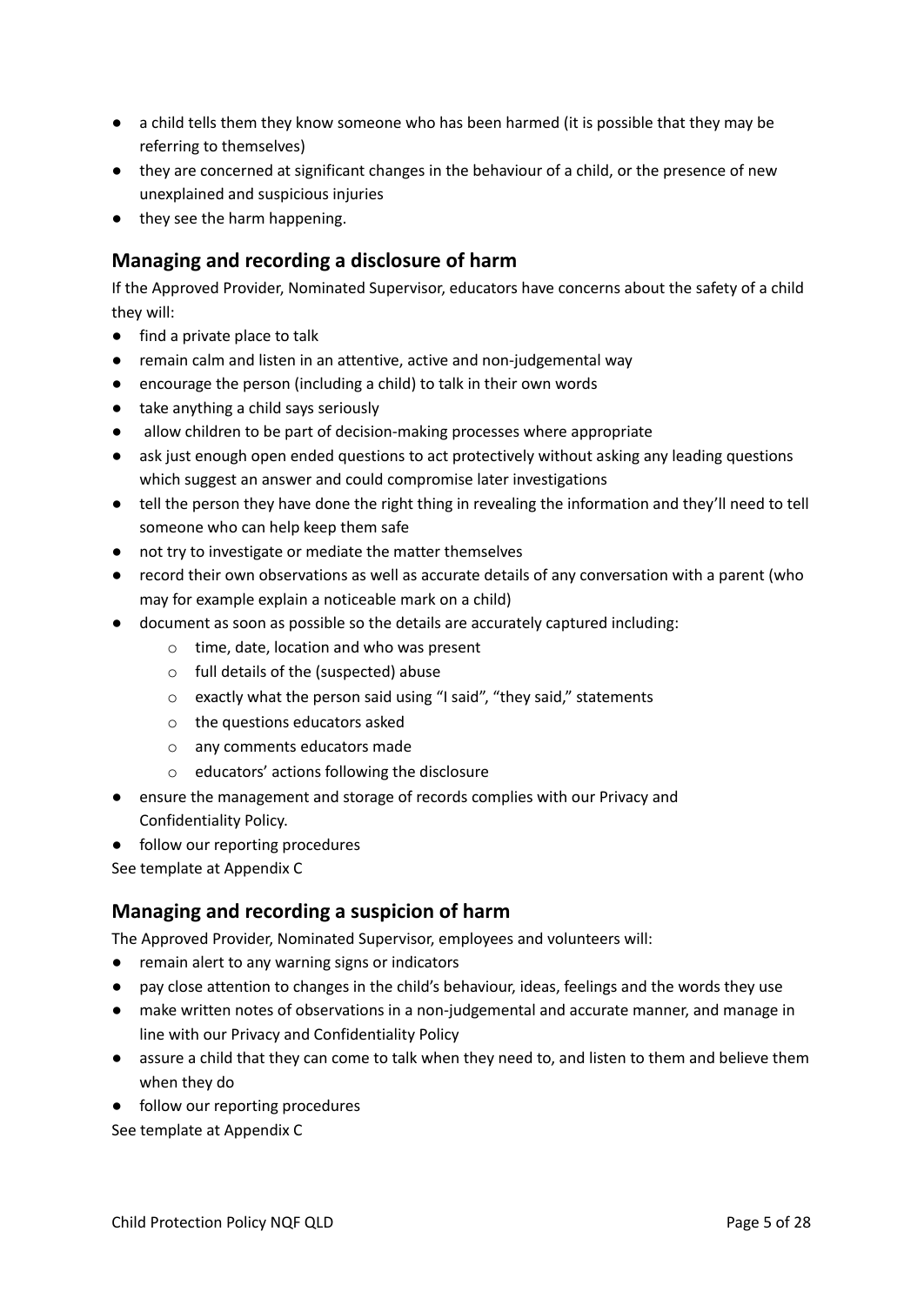- a child tells them they know someone who has been harmed (it is possible that they may be referring to themselves)
- they are concerned at significant changes in the behaviour of a child, or the presence of new unexplained and suspicious injuries
- they see the harm happening.

### **Managing and recording a disclosure of harm**

If the Approved Provider, Nominated Supervisor, educators have concerns about the safety of a child they will:

- find a private place to talk
- remain calm and listen in an attentive, active and non-judgemental way
- encourage the person (including a child) to talk in their own words
- take anything a child says seriously
- allow children to be part of decision-making processes where appropriate
- ask just enough open ended questions to act protectively without asking any leading questions which suggest an answer and could compromise later investigations
- tell the person they have done the right thing in revealing the information and they'll need to tell someone who can help keep them safe
- not try to investigate or mediate the matter themselves
- record their own observations as well as accurate details of any conversation with a parent (who may for example explain a noticeable mark on a child)
- document as soon as possible so the details are accurately captured including:
	- o time, date, location and who was present
	- o full details of the (suspected) abuse
	- o exactly what the person said using "I said", "they said," statements
	- o the questions educators asked
	- o any comments educators made
	- o educators' actions following the disclosure
- ensure the management and storage of records complies with our Privacy and Confidentiality Policy.
- follow our reporting procedures

See template at Appendix C

### **Managing and recording a suspicion of harm**

The Approved Provider, Nominated Supervisor, employees and volunteers will:

- remain alert to any warning signs or indicators
- pay close attention to changes in the child's behaviour, ideas, feelings and the words they use
- make written notes of observations in a non-judgemental and accurate manner, and manage in line with our Privacy and Confidentiality Policy
- assure a child that they can come to talk when they need to, and listen to them and believe them when they do
- follow our reporting procedures

See template at Appendix C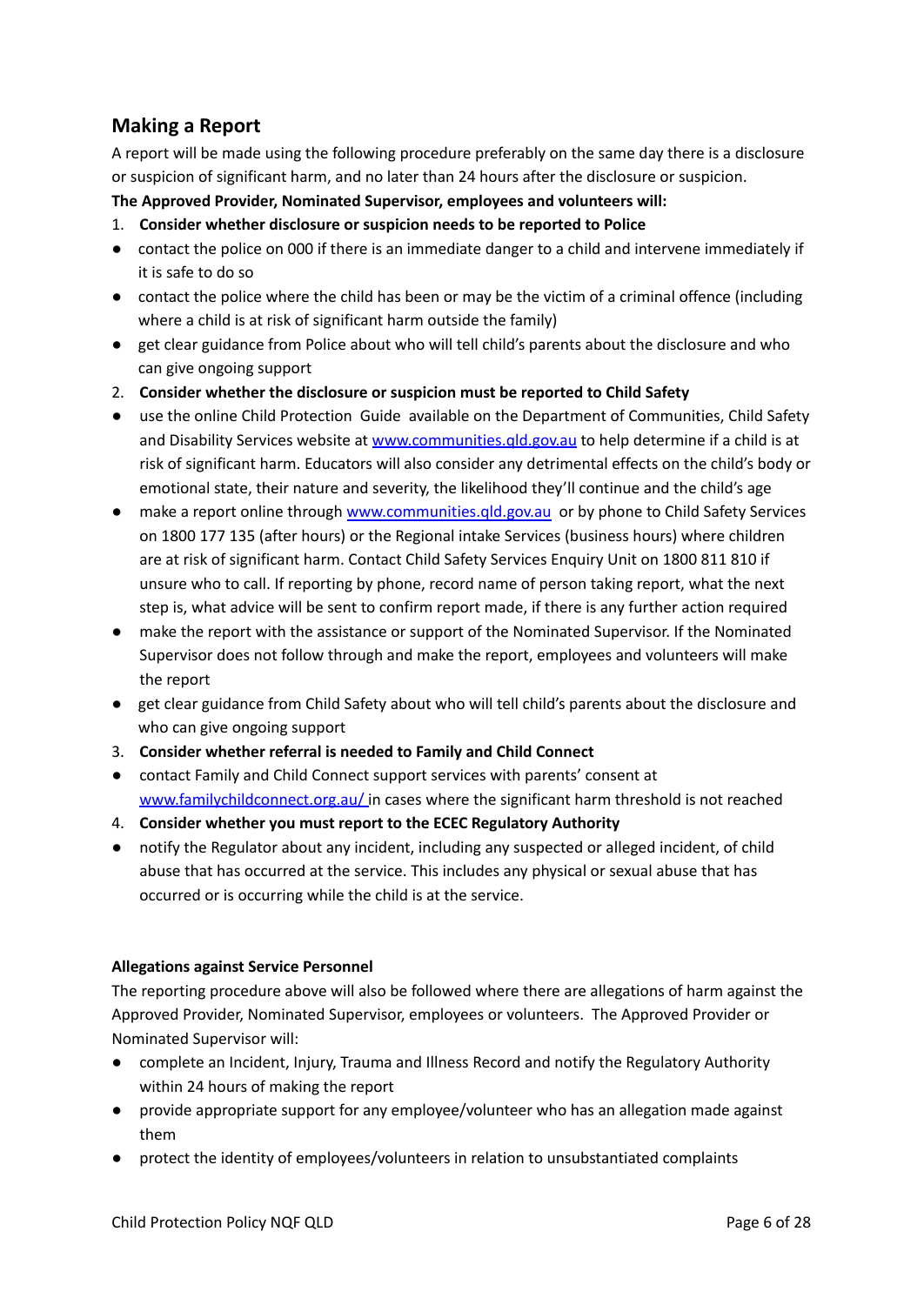### **Making a Report**

A report will be made using the following procedure preferably on the same day there is a disclosure or suspicion of significant harm, and no later than 24 hours after the disclosure or suspicion.

### **The Approved Provider, Nominated Supervisor, employees and volunteers will:**

- 1. **Consider whether disclosure or suspicion needs to be reported to Police**
- contact the police on 000 if there is an immediate danger to a child and intervene immediately if it is safe to do so
- contact the police where the child has been or may be the victim of a criminal offence (including where a child is at risk of significant harm outside the family)
- get clear guidance from Police about who will tell child's parents about the disclosure and who can give ongoing support
- 2. **Consider whether the disclosure or suspicion must be reported to Child Safety**
- use the online Child Protection Guide available on the Department of Communities, Child Safety and Disability Services website at www.communities.gld.gov.au to help determine if a child is at risk of significant harm. Educators will also consider any detrimental effects on the child's body or emotional state, their nature and severity, the likelihood they'll continue and the child's age
- make a report online through www.communities.gld.gov.au or by phone to Child Safety Services on 1800 177 135 (after hours) or the Regional intake Services (business hours) where children are at risk of significant harm. Contact Child Safety Services Enquiry Unit on 1800 811 810 if unsure who to call. If reporting by phone, record name of person taking report, what the next step is, what advice will be sent to confirm report made, if there is any further action required
- make the report with the assistance or support of the Nominated Supervisor. If the Nominated Supervisor does not follow through and make the report, employees and volunteers will make the report
- get clear guidance from Child Safety about who will tell child's parents about the disclosure and who can give ongoing support
- 3. **Consider whether referral is needed to Family and Child Connect**
- contact Family and Child Connect support services with parents' consent at [www.familychildconnect.org.au/](http://www.familychildconnect.org.au/) in cases where the significant harm threshold is not reached
- 4. **Consider whether you must report to the ECEC Regulatory Authority**
- notify the Regulator about any incident, including any suspected or alleged incident, of child abuse that has occurred at the service. This includes any physical or sexual abuse that has occurred or is occurring while the child is at the service.

### **Allegations against Service Personnel**

The reporting procedure above will also be followed where there are allegations of harm against the Approved Provider, Nominated Supervisor, employees or volunteers. The Approved Provider or Nominated Supervisor will:

- complete an Incident, Injury, Trauma and Illness Record and notify the Regulatory Authority within 24 hours of making the report
- provide appropriate support for any employee/volunteer who has an allegation made against them
- protect the identity of employees/volunteers in relation to unsubstantiated complaints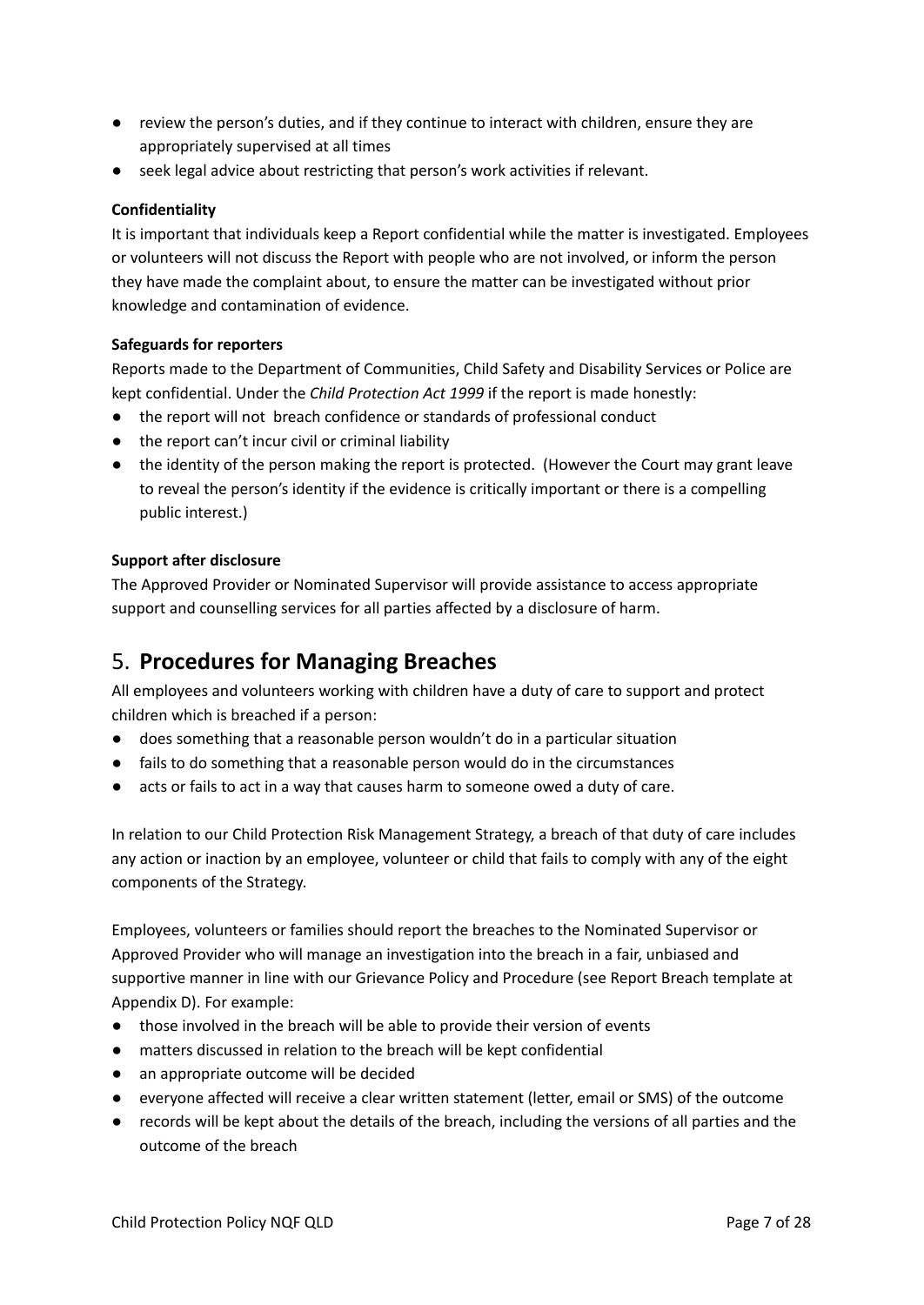- review the person's duties, and if they continue to interact with children, ensure they are appropriately supervised at all times
- seek legal advice about restricting that person's work activities if relevant.

### **Confidentiality**

It is important that individuals keep a Report confidential while the matter is investigated. Employees or volunteers will not discuss the Report with people who are not involved, or inform the person they have made the complaint about, to ensure the matter can be investigated without prior knowledge and contamination of evidence.

### **Safeguards for reporters**

Reports made to the Department of Communities, Child Safety and Disability Services or Police are kept confidential. Under the *Child Protection Act 1999* if the report is made honestly:

- the report will not breach confidence or standards of professional conduct
- the report can't incur civil or criminal liability
- the identity of the person making the report is protected. (However the Court may grant leave to reveal the person's identity if the evidence is critically important or there is a compelling public interest.)

### **Support after disclosure**

The Approved Provider or Nominated Supervisor will provide assistance to access appropriate support and counselling services for all parties affected by a disclosure of harm.

### 5. **Procedures for Managing Breaches**

All employees and volunteers working with children have a duty of care to support and protect children which is breached if a person:

- does something that a reasonable person wouldn't do in a particular situation
- fails to do something that a reasonable person would do in the circumstances
- acts or fails to act in a way that causes harm to someone owed a duty of care.

In relation to our Child Protection Risk Management Strategy, a breach of that duty of care includes any action or inaction by an employee, volunteer or child that fails to comply with any of the eight components of the Strategy.

Employees, volunteers or families should report the breaches to the Nominated Supervisor or Approved Provider who will manage an investigation into the breach in a fair, unbiased and supportive manner in line with our Grievance Policy and Procedure (see Report Breach template at Appendix D). For example:

- those involved in the breach will be able to provide their version of events
- matters discussed in relation to the breach will be kept confidential
- an appropriate outcome will be decided
- everyone affected will receive a clear written statement (letter, email or SMS) of the outcome
- records will be kept about the details of the breach, including the versions of all parties and the outcome of the breach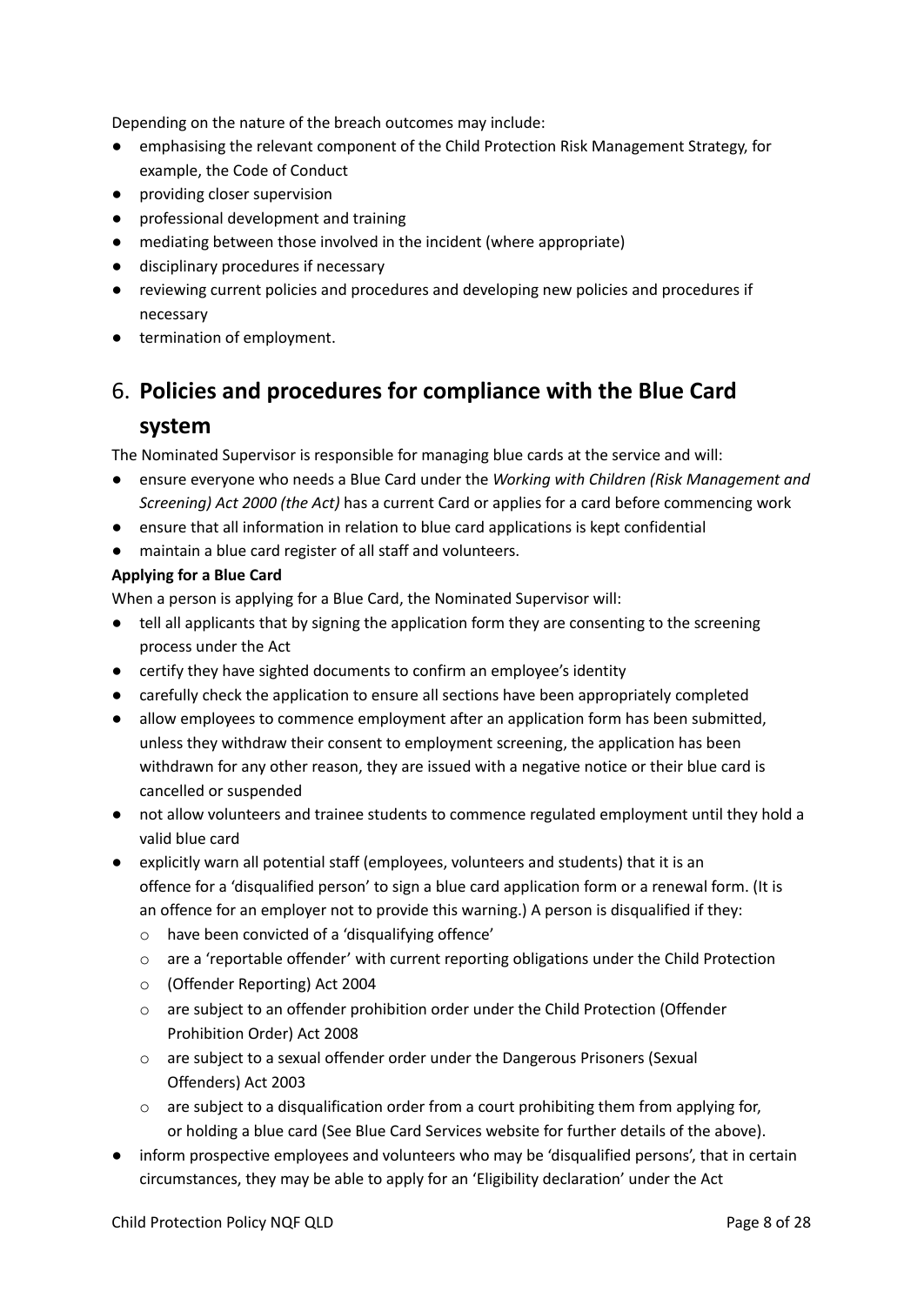Depending on the nature of the breach outcomes may include:

- emphasising the relevant component of the Child Protection Risk Management Strategy, for example, the Code of Conduct
- providing closer supervision
- professional development and training
- mediating between those involved in the incident (where appropriate)
- disciplinary procedures if necessary
- reviewing current policies and procedures and developing new policies and procedures if necessary
- termination of employment.

# 6. **Policies and procedures for compliance with the Blue Card**

### **system**

The Nominated Supervisor is responsible for managing blue cards at the service and will:

- ensure everyone who needs a Blue Card under the *Working with Children (Risk Management and Screening) Act 2000 (the Act)* has a current Card or applies for a card before commencing work
- ensure that all information in relation to blue card applications is kept confidential
- maintain a blue card register of all staff and volunteers.

### **Applying for a Blue Card**

When a person is applying for a Blue Card, the Nominated Supervisor will:

- tell all applicants that by signing the application form they are consenting to the screening process under the Act
- certify they have sighted documents to confirm an employee's identity
- carefully check the application to ensure all sections have been appropriately completed
- allow employees to commence employment after an application form has been submitted, unless they withdraw their consent to employment screening, the application has been withdrawn for any other reason, they are issued with a negative notice or their blue card is cancelled or suspended
- not allow volunteers and trainee students to commence regulated employment until they hold a valid blue card
- explicitly warn all potential staff (employees, volunteers and students) that it is an offence for a 'disqualified person' to sign a blue card application form or a renewal form. (It is an offence for an employer not to provide this warning.) A person is disqualified if they:
	- o have been convicted of a 'disqualifying offence'
	- o are a 'reportable offender' with current reporting obligations under the Child Protection
	- o (Offender Reporting) Act 2004
	- o are subject to an offender prohibition order under the Child Protection (Offender Prohibition Order) Act 2008
	- o are subject to a sexual offender order under the Dangerous Prisoners (Sexual Offenders) Act 2003
	- $\circ$  are subject to a disqualification order from a court prohibiting them from applying for, or holding a blue card (See Blue Card Services website for further details of the above).
- inform prospective employees and volunteers who may be 'disqualified persons', that in certain circumstances, they may be able to apply for an 'Eligibility declaration' under the Act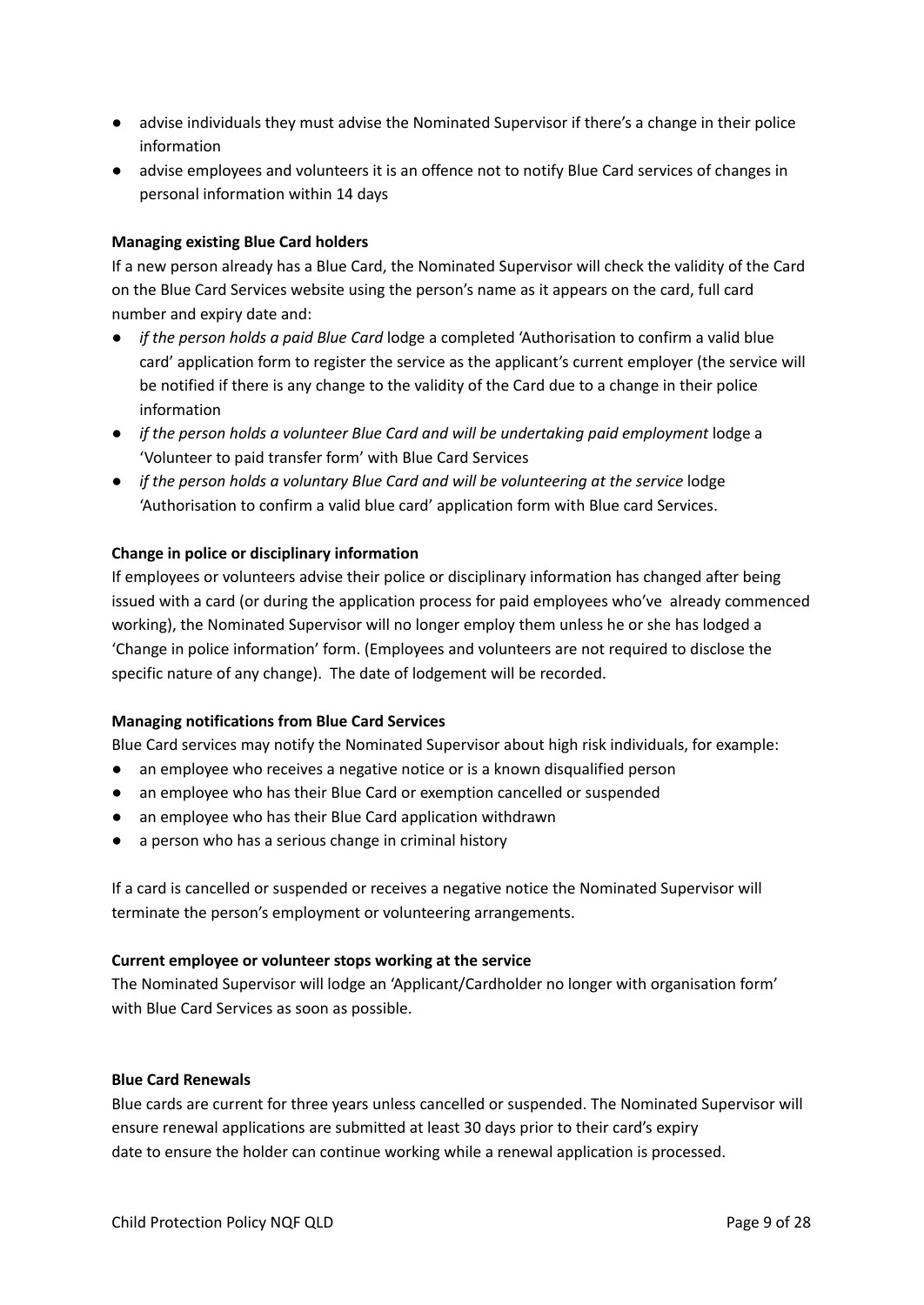- advise individuals they must advise the Nominated Supervisor if there's a change in their police information
- advise employees and volunteers it is an offence not to notify Blue Card services of changes in personal information within 14 days

### **Managing existing Blue Card holders**

If a new person already has a Blue Card, the Nominated Supervisor will check the validity of the Card on the Blue Card Services website using the person's name as it appears on the card, full card number and expiry date and:

- *if the person holds a paid Blue Card* lodge a completed 'Authorisation to confirm a valid blue card' application form to register the service as the applicant's current employer (the service will be notified if there is any change to the validity of the Card due to a change in their police information
- *if the person holds a volunteer Blue Card and will be undertaking paid employment* lodge a 'Volunteer to paid transfer form' with Blue Card Services
- *if the person holds a voluntary Blue Card and will be volunteering at the service* lodge 'Authorisation to confirm a valid blue card' application form with Blue card Services.

### **Change in police or disciplinary information**

If employees or volunteers advise their police or disciplinary information has changed after being issued with a card (or during the application process for paid employees who've already commenced working), the Nominated Supervisor will no longer employ them unless he or she has lodged a 'Change in police information' form. (Employees and volunteers are not required to disclose the specific nature of any change). The date of lodgement will be recorded.

### **Managing notifications from Blue Card Services**

Blue Card services may notify the Nominated Supervisor about high risk individuals, for example:

- an employee who receives a negative notice or is a known disqualified person
- an employee who has their Blue Card or exemption cancelled or suspended
- an employee who has their Blue Card application withdrawn
- a person who has a serious change in criminal history

If a card is cancelled or suspended or receives a negative notice the Nominated Supervisor will terminate the person's employment or volunteering arrangements.

### **Current employee or volunteer stops working at the service**

The Nominated Supervisor will lodge an 'Applicant/Cardholder no longer with organisation form' with Blue Card Services as soon as possible.

### **Blue Card Renewals**

Blue cards are current for three years unless cancelled or suspended. The Nominated Supervisor will ensure renewal applications are submitted at least 30 days prior to their card's expiry date to ensure the holder can continue working while a renewal application is processed.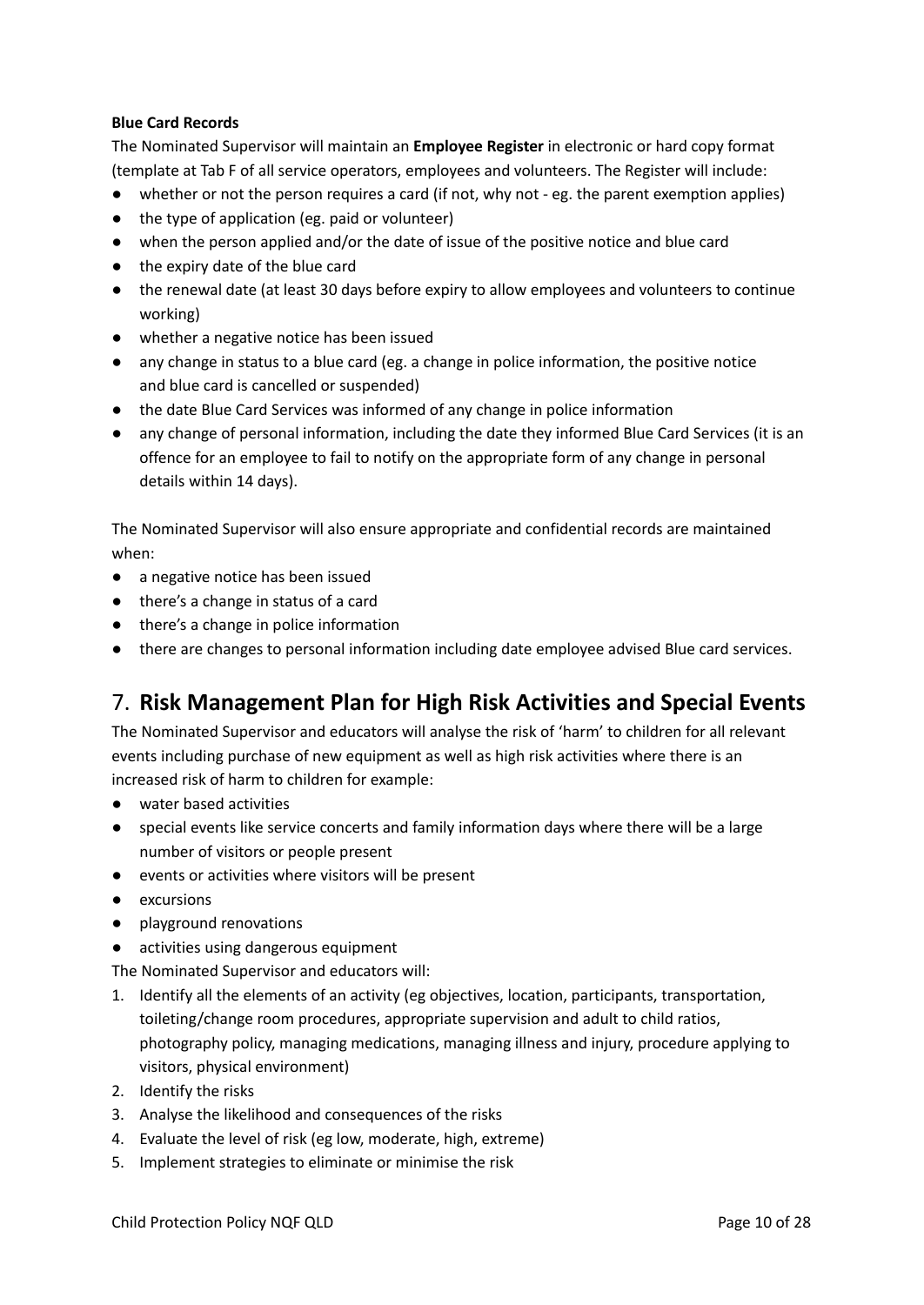### **Blue Card Records**

The Nominated Supervisor will maintain an **Employee Register** in electronic or hard copy format (template at Tab F of all service operators, employees and volunteers. The Register will include:

- whether or not the person requires a card (if not, why not eg. the parent exemption applies)
- the type of application (eg. paid or volunteer)
- when the person applied and/or the date of issue of the positive notice and blue card
- the expiry date of the blue card
- the renewal date (at least 30 days before expiry to allow employees and volunteers to continue working)
- whether a negative notice has been issued
- any change in status to a blue card (eg. a change in police information, the positive notice and blue card is cancelled or suspended)
- the date Blue Card Services was informed of any change in police information
- any change of personal information, including the date they informed Blue Card Services (it is an offence for an employee to fail to notify on the appropriate form of any change in personal details within 14 days).

The Nominated Supervisor will also ensure appropriate and confidential records are maintained when:

- a negative notice has been issued
- there's a change in status of a card
- there's a change in police information
- there are changes to personal information including date employee advised Blue card services.

### 7. **Risk Management Plan for High Risk Activities and Special Events**

The Nominated Supervisor and educators will analyse the risk of 'harm' to children for all relevant events including purchase of new equipment as well as high risk activities where there is an increased risk of harm to children for example:

- water based activities
- special events like service concerts and family information days where there will be a large number of visitors or people present
- events or activities where visitors will be present
- excursions
- playground renovations
- activities using dangerous equipment

The Nominated Supervisor and educators will:

- 1. Identify all the elements of an activity (eg objectives, location, participants, transportation, toileting/change room procedures, appropriate supervision and adult to child ratios, photography policy, managing medications, managing illness and injury, procedure applying to visitors, physical environment)
- 2. Identify the risks
- 3. Analyse the likelihood and consequences of the risks
- 4. Evaluate the level of risk (eg low, moderate, high, extreme)
- 5. Implement strategies to eliminate or minimise the risk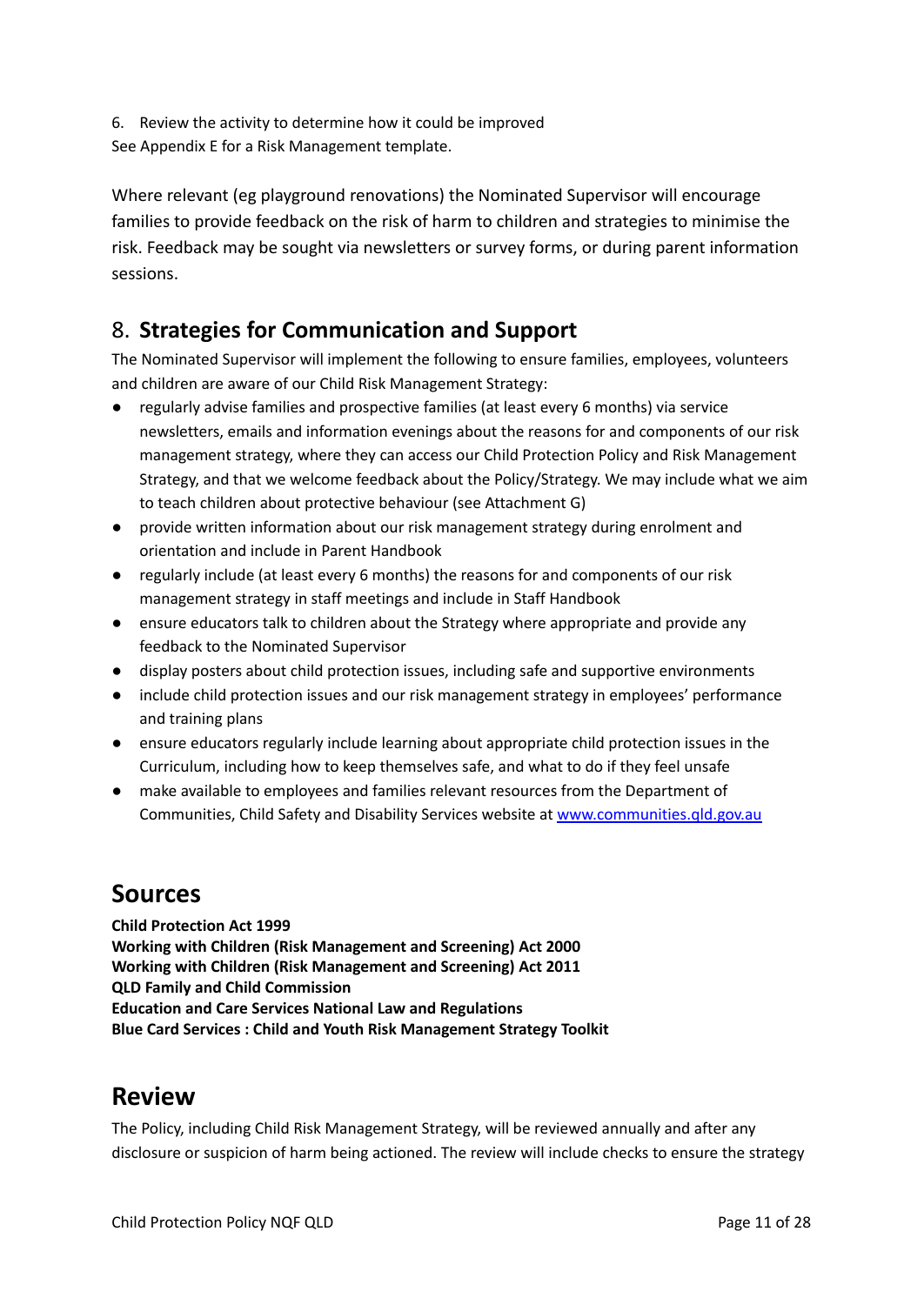6. Review the activity to determine how it could be improved See Appendix E for a Risk Management template.

Where relevant (eg playground renovations) the Nominated Supervisor will encourage families to provide feedback on the risk of harm to children and strategies to minimise the risk. Feedback may be sought via newsletters or survey forms, or during parent information sessions.

# 8. **Strategies for Communication and Support**

The Nominated Supervisor will implement the following to ensure families, employees, volunteers and children are aware of our Child Risk Management Strategy:

- regularly advise families and prospective families (at least every 6 months) via service newsletters, emails and information evenings about the reasons for and components of our risk management strategy, where they can access our Child Protection Policy and Risk Management Strategy, and that we welcome feedback about the Policy/Strategy. We may include what we aim to teach children about protective behaviour (see Attachment G)
- provide written information about our risk management strategy during enrolment and orientation and include in Parent Handbook
- regularly include (at least every 6 months) the reasons for and components of our risk management strategy in staff meetings and include in Staff Handbook
- ensure educators talk to children about the Strategy where appropriate and provide any feedback to the Nominated Supervisor
- display posters about child protection issues, including safe and supportive environments
- include child protection issues and our risk management strategy in employees' performance and training plans
- ensure educators regularly include learning about appropriate child protection issues in the Curriculum, including how to keep themselves safe, and what to do if they feel unsafe
- make available to employees and families relevant resources from the Department of Communities, Child Safety and Disability Services website at [www.communities.qld.gov.au](http://www.communities.qld.gov.au/childsafety)

# **Sources**

**Child Protection Act 1999 Working with Children (Risk Management and Screening) Act 2000 Working with Children (Risk Management and Screening) Act 2011 QLD Family and Child Commission Education and Care Services National Law and Regulations Blue Card Services : Child and Youth Risk Management Strategy Toolkit**

# **Review**

The Policy, including Child Risk Management Strategy, will be reviewed annually and after any disclosure or suspicion of harm being actioned. The review will include checks to ensure the strategy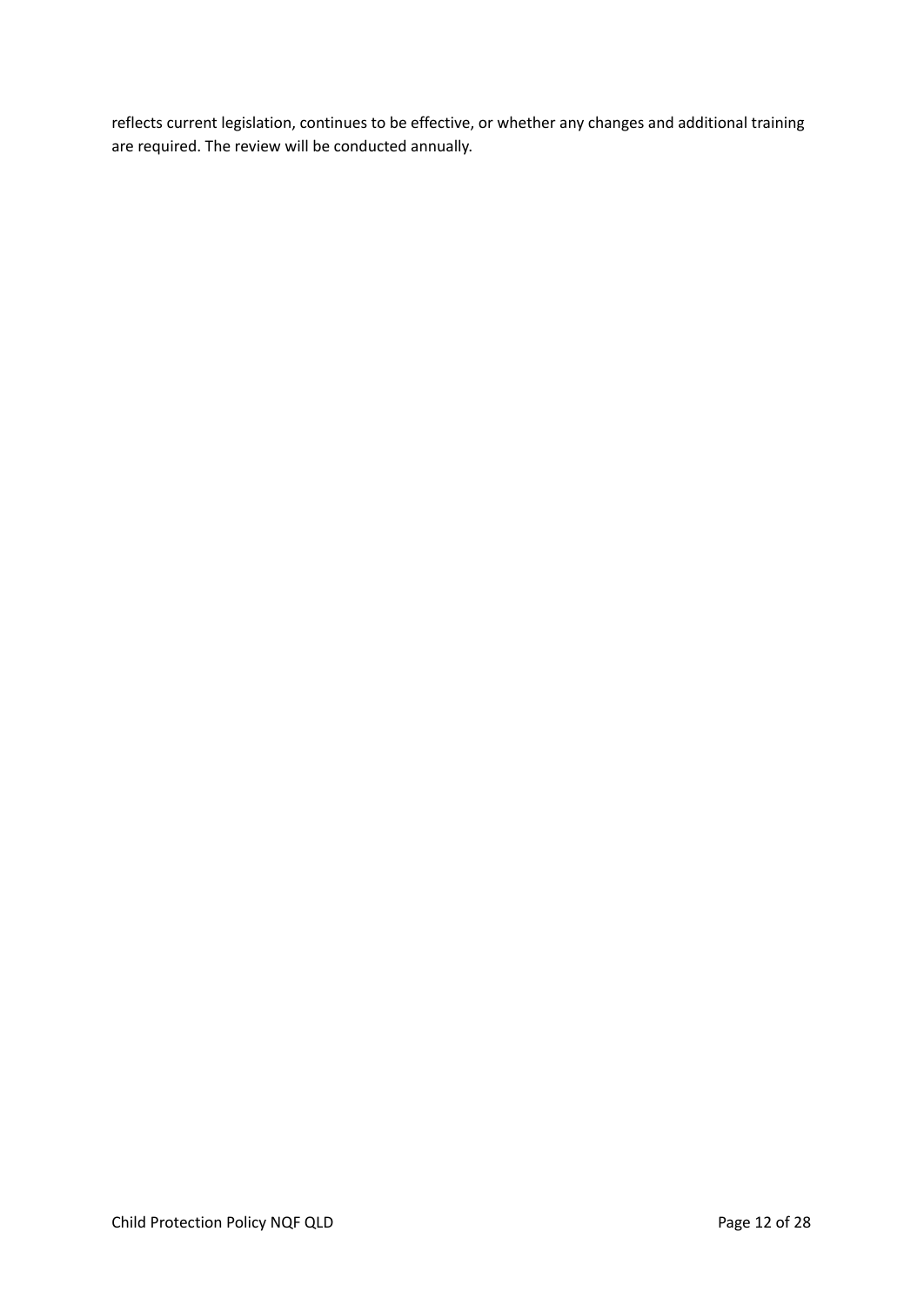reflects current legislation, continues to be effective, or whether any changes and additional training are required. The review will be conducted annually.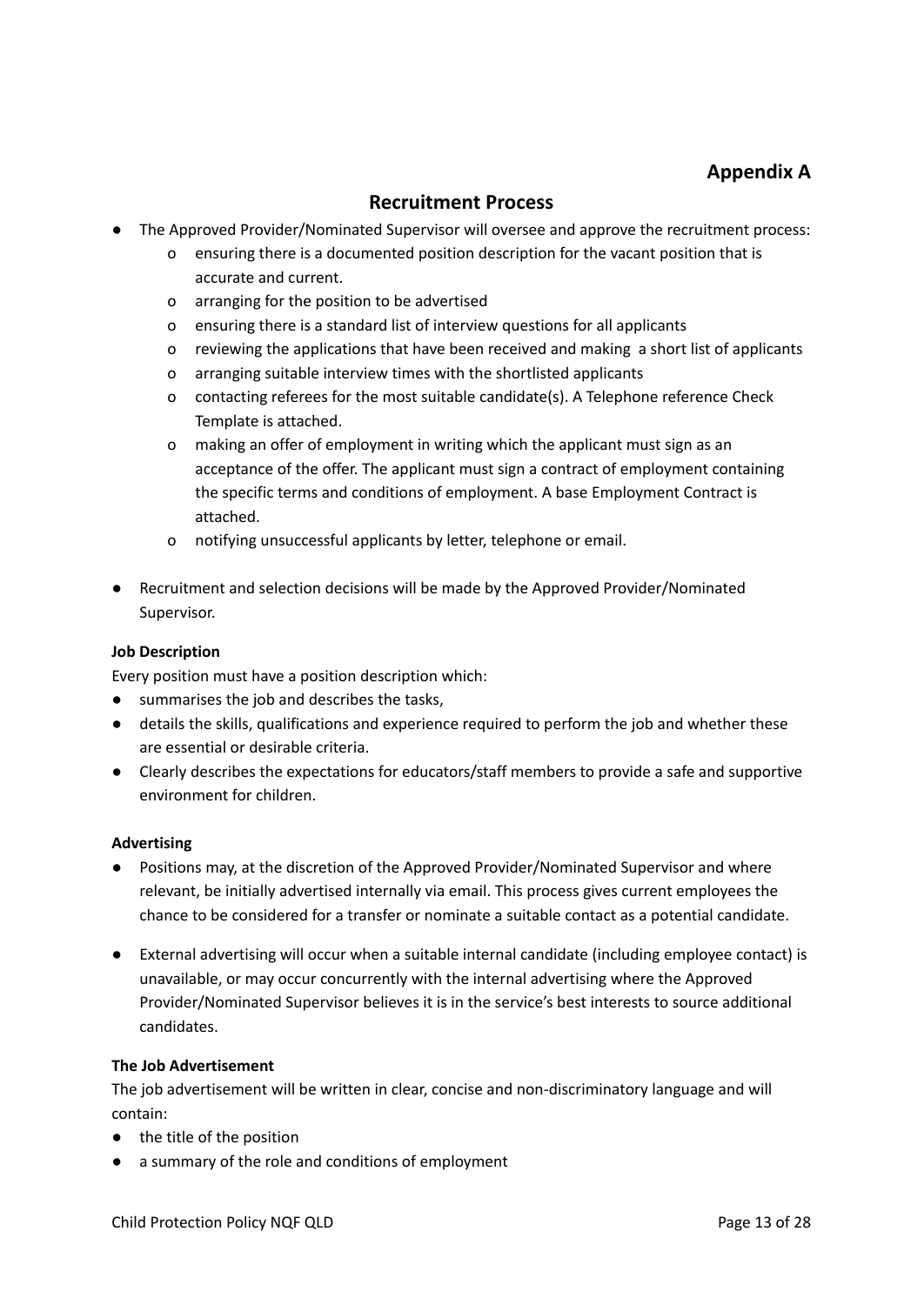### **Appendix A**

### **Recruitment Process**

- The Approved Provider/Nominated Supervisor will oversee and approve the recruitment process:
	- o ensuring there is a documented position description for the vacant position that is accurate and current.
	- o arranging for the position to be advertised
	- o ensuring there is a standard list of interview questions for all applicants
	- o reviewing the applications that have been received and making a short list of applicants
	- o arranging suitable interview times with the shortlisted applicants
	- o contacting referees for the most suitable candidate(s). A Telephone reference Check Template is attached.
	- o making an offer of employment in writing which the applicant must sign as an acceptance of the offer. The applicant must sign a contract of employment containing the specific terms and conditions of employment. A base Employment Contract is attached.
	- o notifying unsuccessful applicants by letter, telephone or email.
- Recruitment and selection decisions will be made by the Approved Provider/Nominated Supervisor.

### **Job Description**

Every position must have a position description which:

- summarises the job and describes the tasks,
- details the skills, qualifications and experience required to perform the job and whether these are essential or desirable criteria.
- Clearly describes the expectations for educators/staff members to provide a safe and supportive environment for children.

### **Advertising**

- Positions may, at the discretion of the Approved Provider/Nominated Supervisor and where relevant, be initially advertised internally via email. This process gives current employees the chance to be considered for a transfer or nominate a suitable contact as a potential candidate.
- External advertising will occur when a suitable internal candidate (including employee contact) is unavailable, or may occur concurrently with the internal advertising where the Approved Provider/Nominated Supervisor believes it is in the service's best interests to source additional candidates.

### **The Job Advertisement**

The job advertisement will be written in clear, concise and non-discriminatory language and will contain:

- the title of the position
- a summary of the role and conditions of employment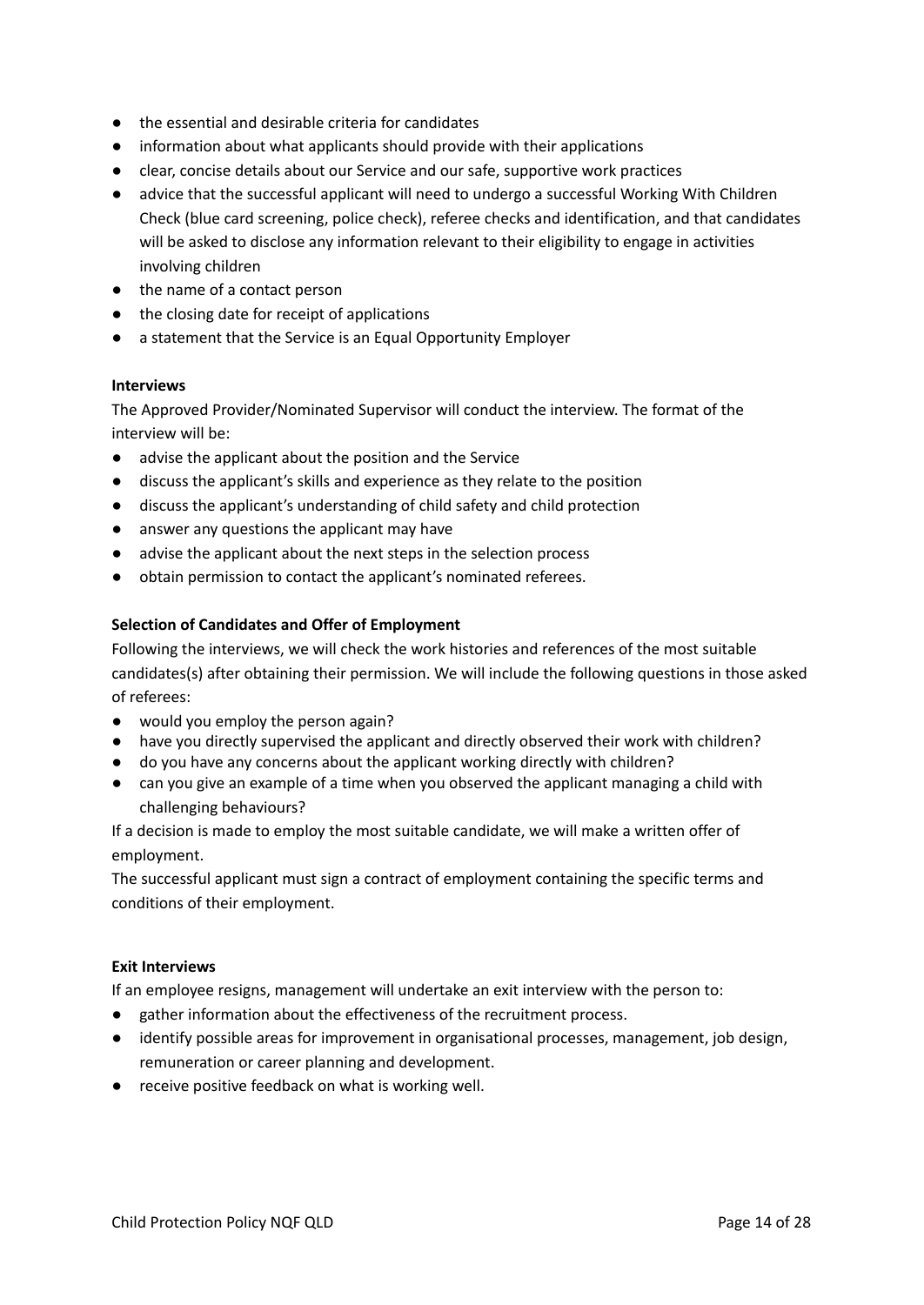- the essential and desirable criteria for candidates
- information about what applicants should provide with their applications
- clear, concise details about our Service and our safe, supportive work practices
- advice that the successful applicant will need to undergo a successful Working With Children Check (blue card screening, police check), referee checks and identification, and that candidates will be asked to disclose any information relevant to their eligibility to engage in activities involving children
- the name of a contact person
- the closing date for receipt of applications
- a statement that the Service is an Equal Opportunity Employer

#### **Interviews**

The Approved Provider/Nominated Supervisor will conduct the interview. The format of the interview will be:

- advise the applicant about the position and the Service
- discuss the applicant's skills and experience as they relate to the position
- discuss the applicant's understanding of child safety and child protection
- answer any questions the applicant may have
- advise the applicant about the next steps in the selection process
- obtain permission to contact the applicant's nominated referees.

### **Selection of Candidates and Offer of Employment**

Following the interviews, we will check the work histories and references of the most suitable candidates(s) after obtaining their permission. We will include the following questions in those asked of referees:

- would you employ the person again?
- have you directly supervised the applicant and directly observed their work with children?
- do you have any concerns about the applicant working directly with children?
- can you give an example of a time when you observed the applicant managing a child with challenging behaviours?

If a decision is made to employ the most suitable candidate, we will make a written offer of employment.

The successful applicant must sign a contract of employment containing the specific terms and conditions of their employment.

#### **Exit Interviews**

If an employee resigns, management will undertake an exit interview with the person to:

- gather information about the effectiveness of the recruitment process.
- identify possible areas for improvement in organisational processes, management, job design, remuneration or career planning and development.
- receive positive feedback on what is working well.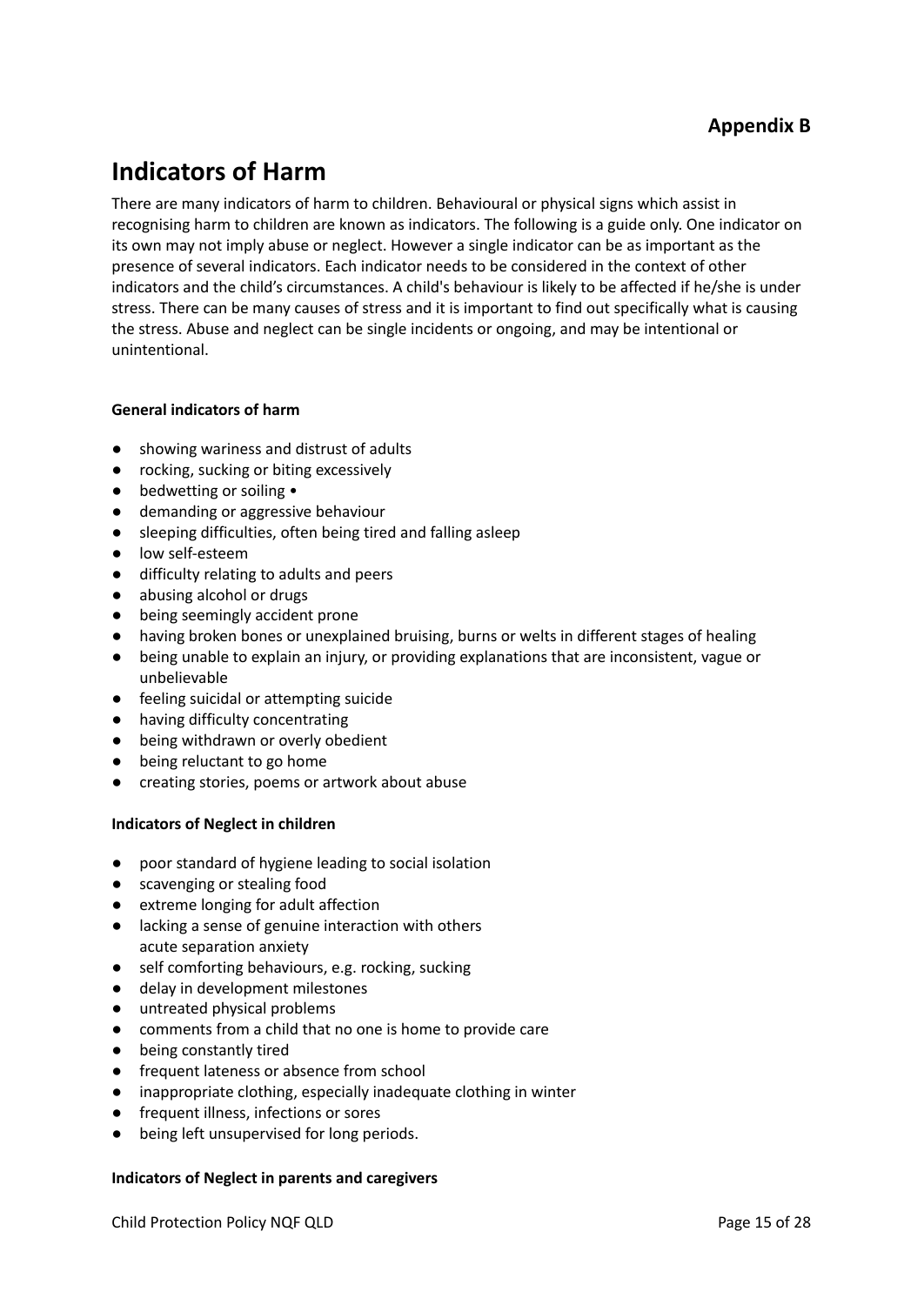# **Indicators of Harm**

There are many indicators of harm to children. Behavioural or physical signs which assist in recognising harm to children are known as indicators. The following is a guide only. One indicator on its own may not imply abuse or neglect. However a single indicator can be as important as the presence of several indicators. Each indicator needs to be considered in the context of other indicators and the child's circumstances. A child's behaviour is likely to be affected if he/she is under stress. There can be many causes of stress and it is important to find out specifically what is causing the stress. Abuse and neglect can be single incidents or ongoing, and may be intentional or unintentional.

### **General indicators of harm**

- showing wariness and distrust of adults
- rocking, sucking or biting excessively
- bedwetting or soiling •
- demanding or aggressive behaviour
- sleeping difficulties, often being tired and falling asleep
- low self-esteem
- difficulty relating to adults and peers
- abusing alcohol or drugs
- being seemingly accident prone
- having broken bones or unexplained bruising, burns or welts in different stages of healing
- being unable to explain an injury, or providing explanations that are inconsistent, vague or unbelievable
- feeling suicidal or attempting suicide
- having difficulty concentrating
- being withdrawn or overly obedient
- being reluctant to go home
- creating stories, poems or artwork about abuse

### **Indicators of Neglect in children**

- poor standard of hygiene leading to social isolation
- scavenging or stealing food
- extreme longing for adult affection
- lacking a sense of genuine interaction with others acute separation anxiety
- self comforting behaviours, e.g. rocking, sucking
- delay in development milestones
- untreated physical problems
- comments from a child that no one is home to provide care
- being constantly tired
- frequent lateness or absence from school
- inappropriate clothing, especially inadequate clothing in winter
- frequent illness, infections or sores
- being left unsupervised for long periods.

### **Indicators of Neglect in parents and caregivers**

Child Protection Policy NQF QLD **Page 15 of 28**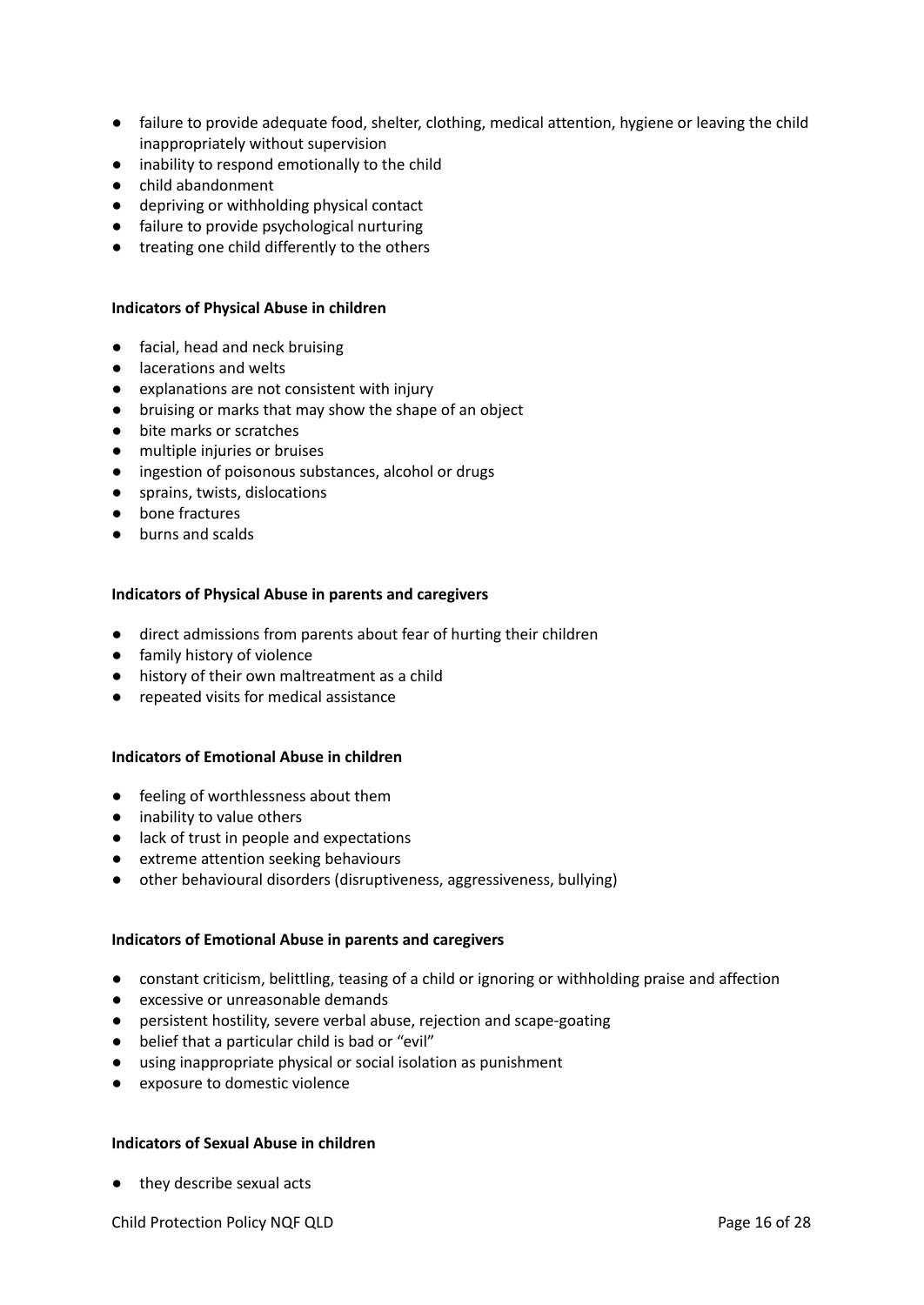- failure to provide adequate food, shelter, clothing, medical attention, hygiene or leaving the child inappropriately without supervision
- inability to respond emotionally to the child
- child abandonment
- depriving or withholding physical contact
- failure to provide psychological nurturing
- treating one child differently to the others

#### **Indicators of Physical Abuse in children**

- facial, head and neck bruising
- lacerations and welts
- explanations are not consistent with injury
- bruising or marks that may show the shape of an object
- bite marks or scratches
- multiple injuries or bruises
- ingestion of poisonous substances, alcohol or drugs
- sprains, twists, dislocations
- bone fractures
- burns and scalds

#### **Indicators of Physical Abuse in parents and caregivers**

- direct admissions from parents about fear of hurting their children
- family history of violence
- history of their own maltreatment as a child
- repeated visits for medical assistance

#### **Indicators of Emotional Abuse in children**

- feeling of worthlessness about them
- inability to value others
- lack of trust in people and expectations
- extreme attention seeking behaviours
- other behavioural disorders (disruptiveness, aggressiveness, bullying)

#### **Indicators of Emotional Abuse in parents and caregivers**

- constant criticism, belittling, teasing of a child or ignoring or withholding praise and affection
- excessive or unreasonable demands
- persistent hostility, severe verbal abuse, rejection and scape-goating
- belief that a particular child is bad or "evil"
- using inappropriate physical or social isolation as punishment
- exposure to domestic violence

#### **Indicators of Sexual Abuse in children**

● they describe sexual acts

Child Protection Policy NQF QLD **Page 16 of 28**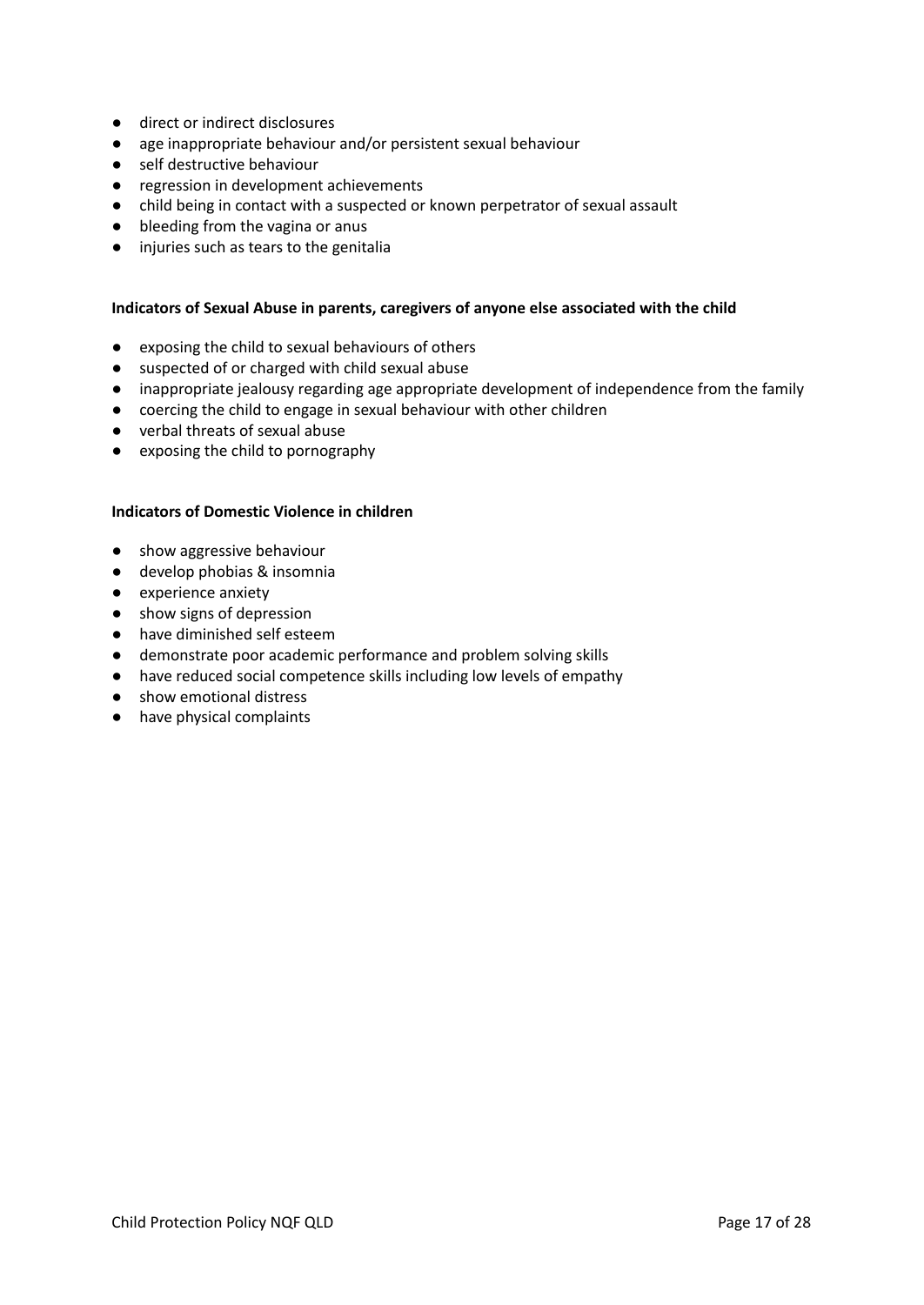- direct or indirect disclosures
- age inappropriate behaviour and/or persistent sexual behaviour
- self destructive behaviour
- regression in development achievements
- child being in contact with a suspected or known perpetrator of sexual assault
- bleeding from the vagina or anus
- injuries such as tears to the genitalia

#### **Indicators of Sexual Abuse in parents, caregivers of anyone else associated with the child**

- exposing the child to sexual behaviours of others
- suspected of or charged with child sexual abuse
- inappropriate jealousy regarding age appropriate development of independence from the family
- coercing the child to engage in sexual behaviour with other children
- verbal threats of sexual abuse
- exposing the child to pornography

#### **Indicators of Domestic Violence in children**

- show aggressive behaviour
- develop phobias & insomnia
- experience anxiety
- show signs of depression
- have diminished self esteem
- demonstrate poor academic performance and problem solving skills
- have reduced social competence skills including low levels of empathy
- show emotional distress
- have physical complaints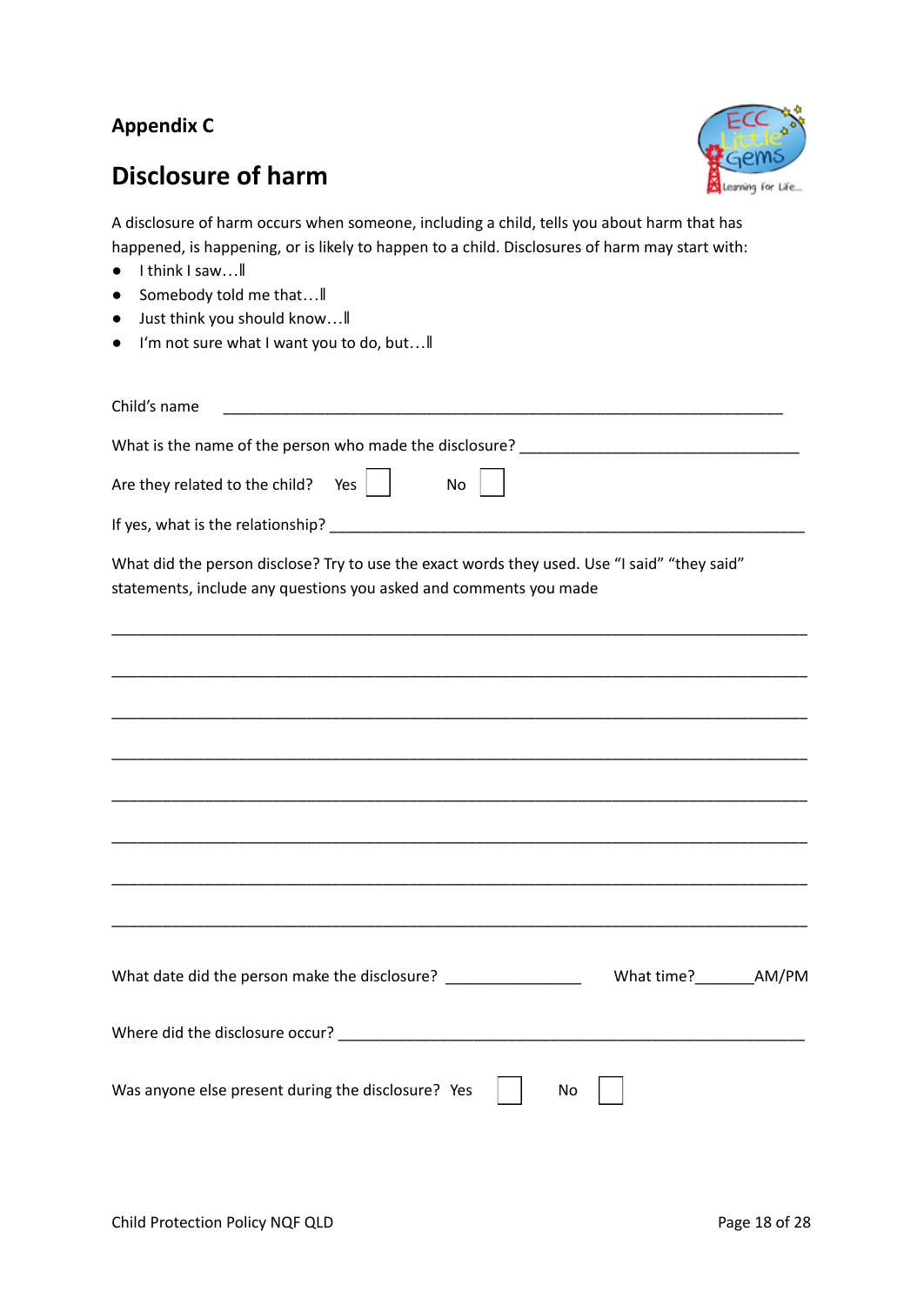### **Appendix C**

# **Disclosure of harm**



A disclosure of harm occurs when someone, including a child, tells you about harm that has happened, is happening, or is likely to happen to a child. Disclosures of harm may start with:

- I think I saw…‖
- Somebody told me that... II
- Just think you should know…‖
- I'm not sure what I want you to do, but…‖

| Child's name                                                                                                                                                      |  |
|-------------------------------------------------------------------------------------------------------------------------------------------------------------------|--|
|                                                                                                                                                                   |  |
| Are they related to the child? Yes $\vert$  <br>No                                                                                                                |  |
|                                                                                                                                                                   |  |
| What did the person disclose? Try to use the exact words they used. Use "I said" "they said"<br>statements, include any questions you asked and comments you made |  |
|                                                                                                                                                                   |  |
| <u> 1989 - Johann Stoff, amerikansk politiker (d. 1989)</u>                                                                                                       |  |
|                                                                                                                                                                   |  |
| <u> 1989 - Johann Stoff, deutscher Stoff, der Stoff, der Stoff, der Stoff, der Stoff, der Stoff, der Stoff, der S</u>                                             |  |
|                                                                                                                                                                   |  |
|                                                                                                                                                                   |  |
| What date did the person make the disclosure? _________________                                                                                                   |  |
|                                                                                                                                                                   |  |
| Was anyone else present during the disclosure? Yes<br>No                                                                                                          |  |
|                                                                                                                                                                   |  |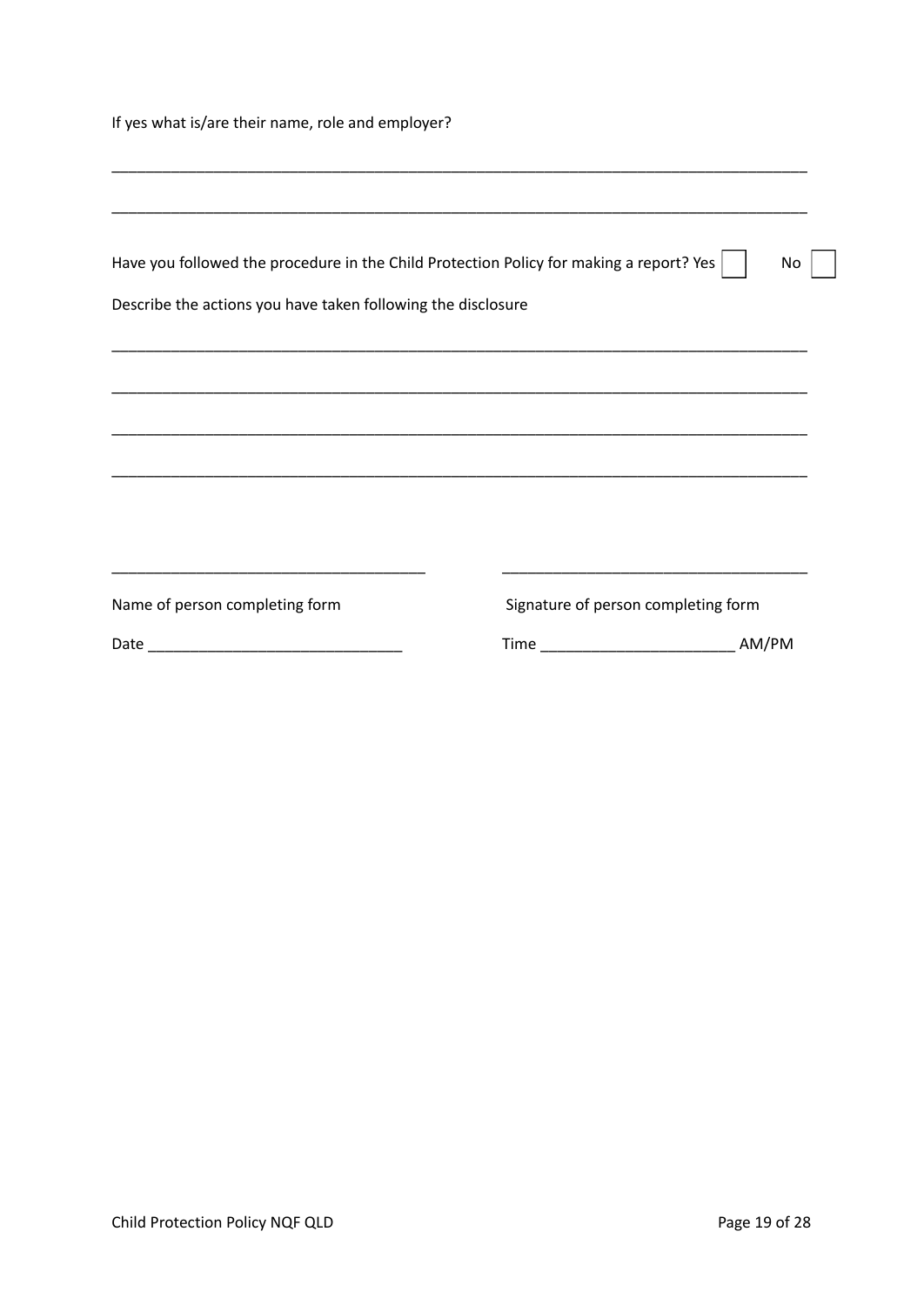If yes what is/are their name, role and employer?

| Have you followed the procedure in the Child Protection Policy for making a report? Yes  <br>No.<br>Describe the actions you have taken following the disclosure                                                                                                |                                                                                                                                                              |  |  |  |  |  |  |  |
|-----------------------------------------------------------------------------------------------------------------------------------------------------------------------------------------------------------------------------------------------------------------|--------------------------------------------------------------------------------------------------------------------------------------------------------------|--|--|--|--|--|--|--|
|                                                                                                                                                                                                                                                                 |                                                                                                                                                              |  |  |  |  |  |  |  |
|                                                                                                                                                                                                                                                                 |                                                                                                                                                              |  |  |  |  |  |  |  |
| the control of the control of the control of the control of the control of the control of the control of the control of the control of the control of the control of the control of the control of the control of the control<br>Name of person completing form | <u> 1989 - Johann John Stein, markin fan it ferskearre fan it ferskearre fan it ferskearre fan it ferskearre fan </u><br>Signature of person completing form |  |  |  |  |  |  |  |
|                                                                                                                                                                                                                                                                 | Time <b>The Commission Commission</b><br>AM/PM                                                                                                               |  |  |  |  |  |  |  |

\_\_\_\_\_\_\_\_\_\_\_\_\_\_\_\_\_\_\_\_\_\_\_\_\_\_\_\_\_\_\_\_\_\_\_\_\_\_\_\_\_\_\_\_\_\_\_\_\_\_\_\_\_\_\_\_\_\_\_\_\_\_\_\_\_\_\_\_\_\_\_\_\_\_\_\_\_\_\_\_\_\_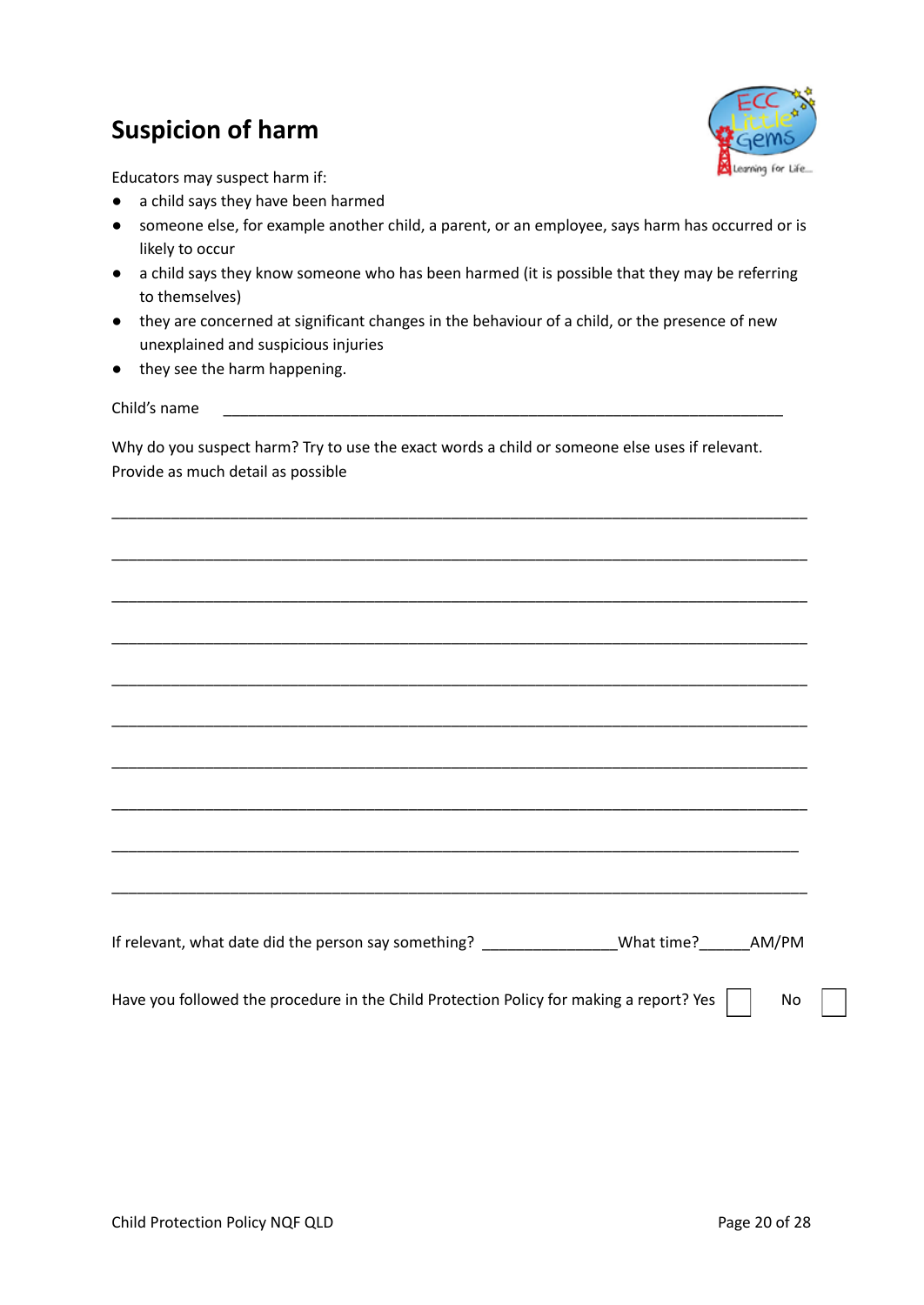# **Suspicion of harm**



Educators may suspect harm if:

- a child says they have been harmed
- someone else, for example another child, a parent, or an employee, says harm has occurred or is likely to occur
- a child says they know someone who has been harmed (it is possible that they may be referring to themselves)
- they are concerned at significant changes in the behaviour of a child, or the presence of new unexplained and suspicious injuries
- they see the harm happening.

Child's name

Why do you suspect harm? Try to use the exact words a child or someone else uses if relevant. Provide as much detail as possible

\_\_\_\_\_\_\_\_\_\_\_\_\_\_\_\_\_\_\_\_\_\_\_\_\_\_\_\_\_\_\_\_\_\_\_\_\_\_\_\_\_\_\_\_\_\_\_\_\_\_\_\_\_\_\_\_\_\_\_\_\_\_\_\_\_\_\_\_\_\_\_\_\_\_\_\_\_\_\_\_\_\_

\_\_\_\_\_\_\_\_\_\_\_\_\_\_\_\_\_\_\_\_\_\_\_\_\_\_\_\_\_\_\_\_\_\_\_\_\_\_\_\_\_\_\_\_\_\_\_\_\_\_\_\_\_\_\_\_\_\_\_\_\_\_\_\_\_\_\_\_\_\_\_\_\_\_\_\_\_\_\_\_\_\_

\_\_\_\_\_\_\_\_\_\_\_\_\_\_\_\_\_\_\_\_\_\_\_\_\_\_\_\_\_\_\_\_\_\_\_\_\_\_\_\_\_\_\_\_\_\_\_\_\_\_\_\_\_\_\_\_\_\_\_\_\_\_\_\_\_\_\_\_\_\_\_\_\_\_\_\_\_\_\_\_\_\_

\_\_\_\_\_\_\_\_\_\_\_\_\_\_\_\_\_\_\_\_\_\_\_\_\_\_\_\_\_\_\_\_\_\_\_\_\_\_\_\_\_\_\_\_\_\_\_\_\_\_\_\_\_\_\_\_\_\_\_\_\_\_\_\_\_\_\_\_\_\_\_\_\_\_\_\_\_\_\_\_\_\_ \_\_\_\_\_\_\_\_\_\_\_\_\_\_\_\_\_\_\_\_\_\_\_\_\_\_\_\_\_\_\_\_\_\_\_\_\_\_\_\_\_\_\_\_\_\_\_\_\_\_\_\_\_\_\_\_\_\_\_\_\_\_\_\_\_\_\_\_\_\_\_\_\_\_\_\_\_\_\_\_\_\_ \_\_\_\_\_\_\_\_\_\_\_\_\_\_\_\_\_\_\_\_\_\_\_\_\_\_\_\_\_\_\_\_\_\_\_\_\_\_\_\_\_\_\_\_\_\_\_\_\_\_\_\_\_\_\_\_\_\_\_\_\_\_\_\_\_\_\_\_\_\_\_\_\_\_\_\_\_\_\_\_\_\_ \_\_\_\_\_\_\_\_\_\_\_\_\_\_\_\_\_\_\_\_\_\_\_\_\_\_\_\_\_\_\_\_\_\_\_\_\_\_\_\_\_\_\_\_\_\_\_\_\_\_\_\_\_\_\_\_\_\_\_\_\_\_\_\_\_\_\_\_\_\_\_\_\_\_\_\_\_\_\_\_\_\_ \_\_\_\_\_\_\_\_\_\_\_\_\_\_\_\_\_\_\_\_\_\_\_\_\_\_\_\_\_\_\_\_\_\_\_\_\_\_\_\_\_\_\_\_\_\_\_\_\_\_\_\_\_\_\_\_\_\_\_\_\_\_\_\_\_\_\_\_\_\_\_\_\_\_\_\_\_\_\_\_\_\_ \_\_\_\_\_\_\_\_\_\_\_\_\_\_\_\_\_\_\_\_\_\_\_\_\_\_\_\_\_\_\_\_\_\_\_\_\_\_\_\_\_\_\_\_\_\_\_\_\_\_\_\_\_\_\_\_\_\_\_\_\_\_\_\_\_\_\_\_\_\_\_\_\_\_\_\_\_\_\_\_\_ \_\_\_\_\_\_\_\_\_\_\_\_\_\_\_\_\_\_\_\_\_\_\_\_\_\_\_\_\_\_\_\_\_\_\_\_\_\_\_\_\_\_\_\_\_\_\_\_\_\_\_\_\_\_\_\_\_\_\_\_\_\_\_\_\_\_\_\_\_\_\_\_\_\_\_\_\_\_\_\_\_\_ If relevant, what date did the person say something? \_\_\_\_\_\_\_\_\_\_\_\_\_\_\_\_What time? AM/PM Have you followed the procedure in the Child Protection Policy for making a report? Yes  $\Box$  No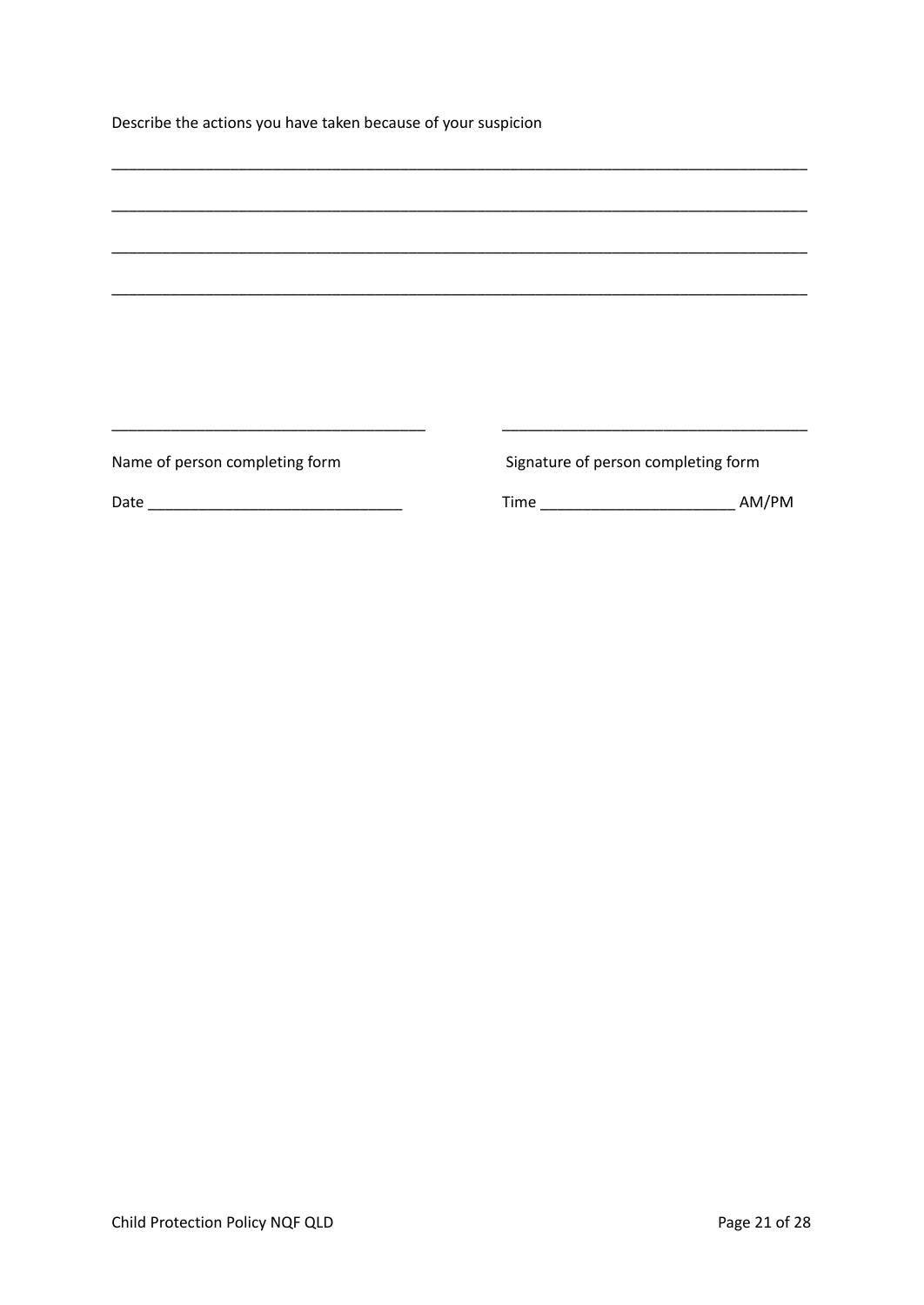Describe the actions you have taken because of your suspicion

| Name of person completing form | Signature of person completing form |       |
|--------------------------------|-------------------------------------|-------|
|                                |                                     | AM/PM |
|                                |                                     |       |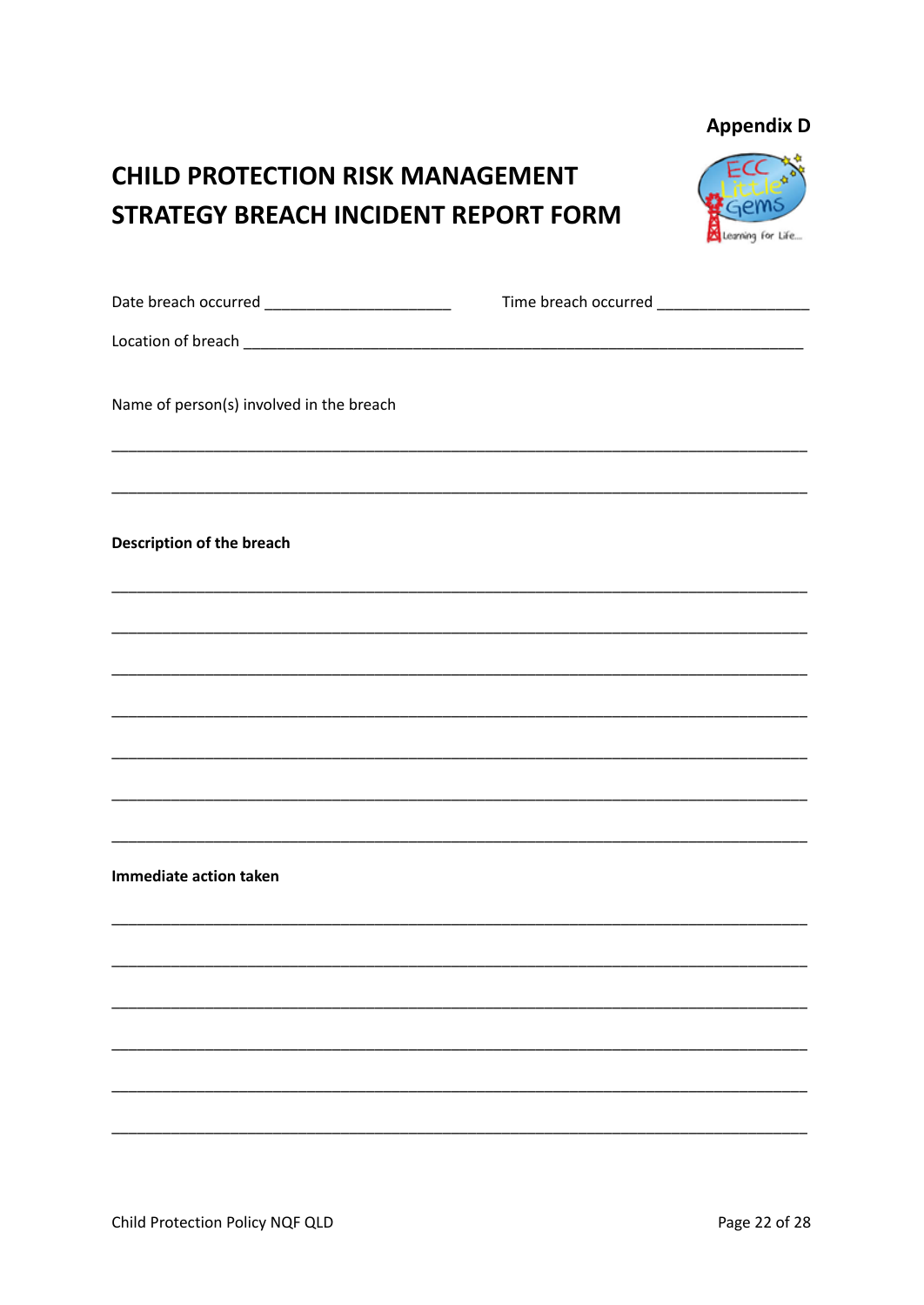### **Appendix D**

# **CHILD PROTECTION RISK MANAGEMENT STRATEGY BREACH INCIDENT REPORT FORM**



| Name of person(s) involved in the breach |  |
|------------------------------------------|--|
|                                          |  |
| Description of the breach                |  |
|                                          |  |
|                                          |  |
|                                          |  |
|                                          |  |
|                                          |  |
|                                          |  |
| Immediate action taken                   |  |
|                                          |  |
|                                          |  |
|                                          |  |
|                                          |  |
|                                          |  |
|                                          |  |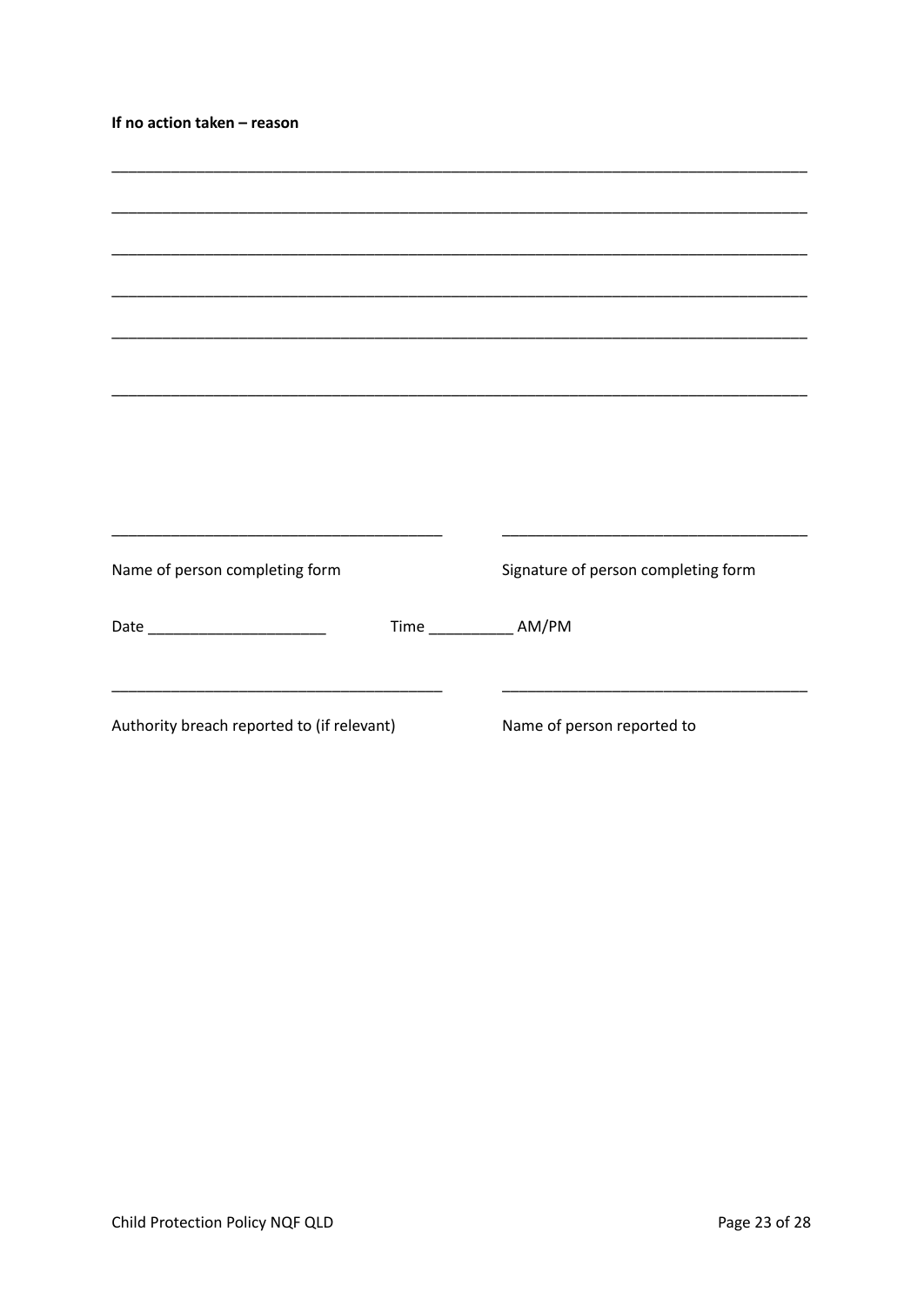| If no action taken - reason                |                                                                                                                        |
|--------------------------------------------|------------------------------------------------------------------------------------------------------------------------|
|                                            |                                                                                                                        |
|                                            |                                                                                                                        |
|                                            |                                                                                                                        |
|                                            |                                                                                                                        |
|                                            |                                                                                                                        |
|                                            |                                                                                                                        |
|                                            |                                                                                                                        |
|                                            | <u> 1989 - Johann John Harry Harry Harry Harry Harry Harry Harry Harry Harry Harry Harry Harry Harry Harry Harry H</u> |
| Name of person completing form             | Signature of person completing form                                                                                    |
| Date __________________________            | Time ______________ AM/PM                                                                                              |
|                                            | <u> 1980 - Johann John Stone, mars and de la partie de la partie de la partie de la partie de la partie de la par</u>  |
| Authority breach reported to (if relevant) | Name of person reported to                                                                                             |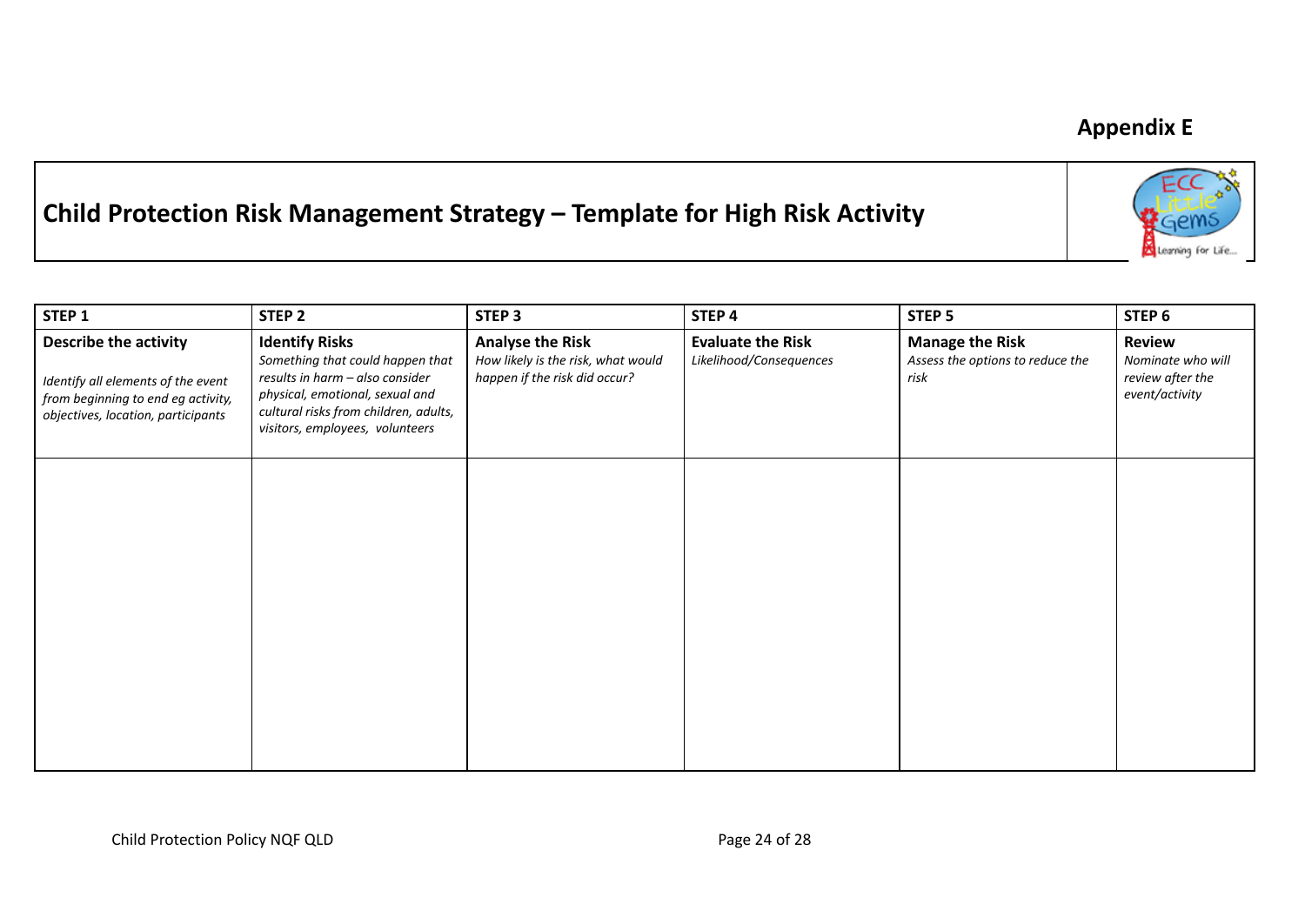# **Appendix E**

Learning for Life...

# **Child Protection Risk Management Strategy – Template for High Risk Activity**

| STEP 1                                                                                                                                  | STEP <sub>2</sub>                                                                                                                                                                                           | STEP <sub>3</sub>                                                                              | STEP 4                                              | STEP <sub>5</sub>                                                  | STEP <sub>6</sub>                                                        |
|-----------------------------------------------------------------------------------------------------------------------------------------|-------------------------------------------------------------------------------------------------------------------------------------------------------------------------------------------------------------|------------------------------------------------------------------------------------------------|-----------------------------------------------------|--------------------------------------------------------------------|--------------------------------------------------------------------------|
| Describe the activity<br>Identify all elements of the event<br>from beginning to end eg activity,<br>objectives, location, participants | <b>Identify Risks</b><br>Something that could happen that<br>results in harm - also consider<br>physical, emotional, sexual and<br>cultural risks from children, adults,<br>visitors, employees, volunteers | <b>Analyse the Risk</b><br>How likely is the risk, what would<br>happen if the risk did occur? | <b>Evaluate the Risk</b><br>Likelihood/Consequences | <b>Manage the Risk</b><br>Assess the options to reduce the<br>risk | <b>Review</b><br>Nominate who will<br>review after the<br>event/activity |
|                                                                                                                                         |                                                                                                                                                                                                             |                                                                                                |                                                     |                                                                    |                                                                          |
|                                                                                                                                         |                                                                                                                                                                                                             |                                                                                                |                                                     |                                                                    |                                                                          |
|                                                                                                                                         |                                                                                                                                                                                                             |                                                                                                |                                                     |                                                                    |                                                                          |
|                                                                                                                                         |                                                                                                                                                                                                             |                                                                                                |                                                     |                                                                    |                                                                          |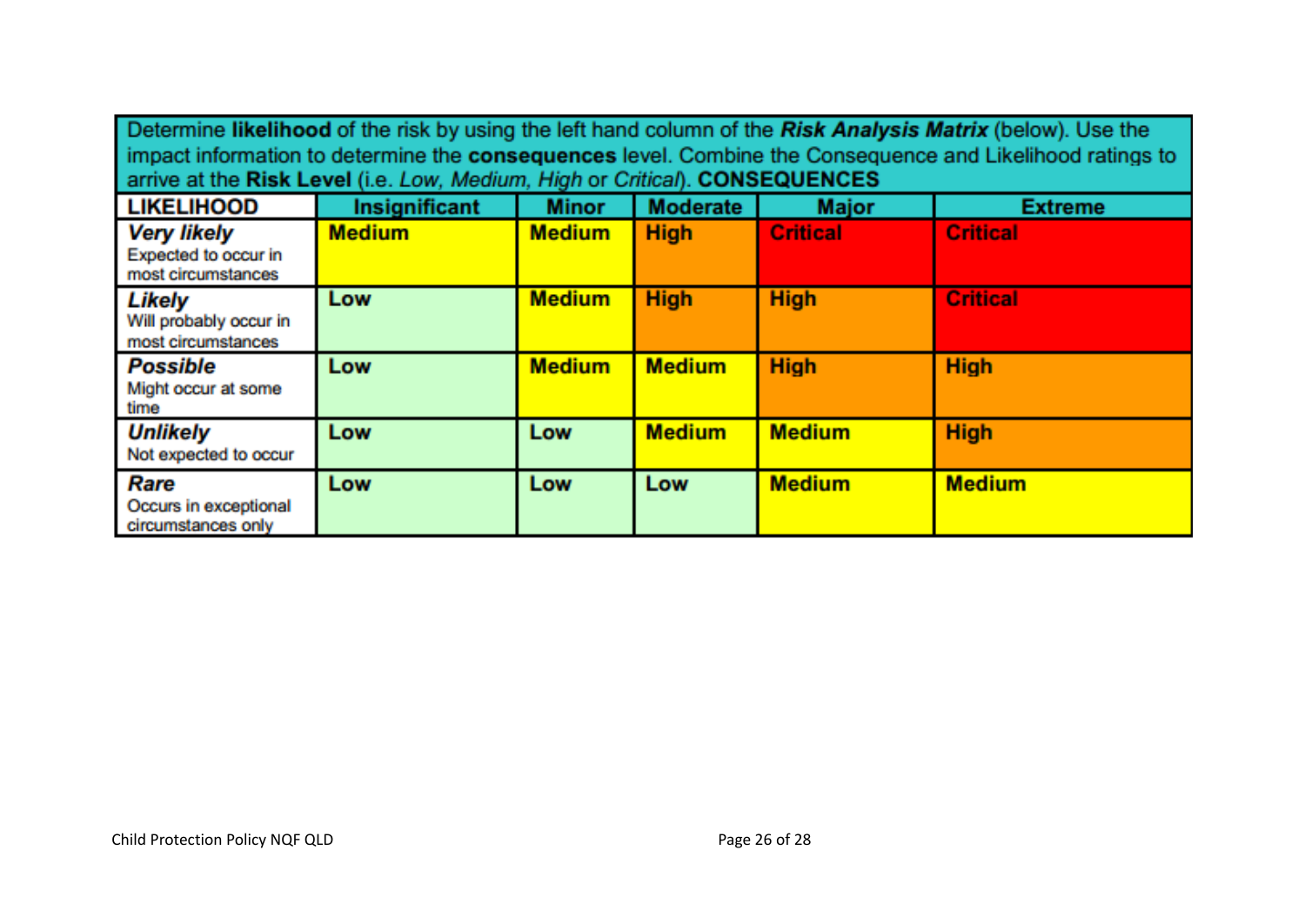| Determine likelihood of the risk by using the left hand column of the Risk Analysis Matrix (below). Use the<br>impact information to determine the consequences level. Combine the Consequence and Likelihood ratings to<br>arrive at the Risk Level (i.e. Low, Medium, High or Critical). CONSEQUENCES |                      |               |                 |                 |                 |  |  |  |  |
|---------------------------------------------------------------------------------------------------------------------------------------------------------------------------------------------------------------------------------------------------------------------------------------------------------|----------------------|---------------|-----------------|-----------------|-----------------|--|--|--|--|
| <b>LIKELIHOOD</b>                                                                                                                                                                                                                                                                                       | <b>Insignificant</b> | <b>Minor</b>  | <b>Moderate</b> | <b>Major</b>    | <b>Extreme</b>  |  |  |  |  |
| <b>Very likely</b><br>Expected to occur in<br>most circumstances                                                                                                                                                                                                                                        | <b>Medium</b>        | <b>Medium</b> | <b>High</b>     | <b>Critical</b> | <b>Critical</b> |  |  |  |  |
| Likely<br>Will probably occur in<br>most circumstances                                                                                                                                                                                                                                                  | Low                  | <b>Medium</b> | <b>High</b>     | <b>High</b>     | <b>Critical</b> |  |  |  |  |
| <b>Possible</b><br>Might occur at some<br>time                                                                                                                                                                                                                                                          | Low                  | <b>Medium</b> | <b>Medium</b>   | <b>High</b>     | <b>High</b>     |  |  |  |  |
| <b>Unlikely</b><br>Not expected to occur                                                                                                                                                                                                                                                                | Low                  | Low           | <b>Medium</b>   | <b>Medium</b>   | <b>High</b>     |  |  |  |  |
| Rare<br>Occurs in exceptional<br>circumstances only                                                                                                                                                                                                                                                     | Low                  | Low           | Low             | <b>Medium</b>   | <b>Medium</b>   |  |  |  |  |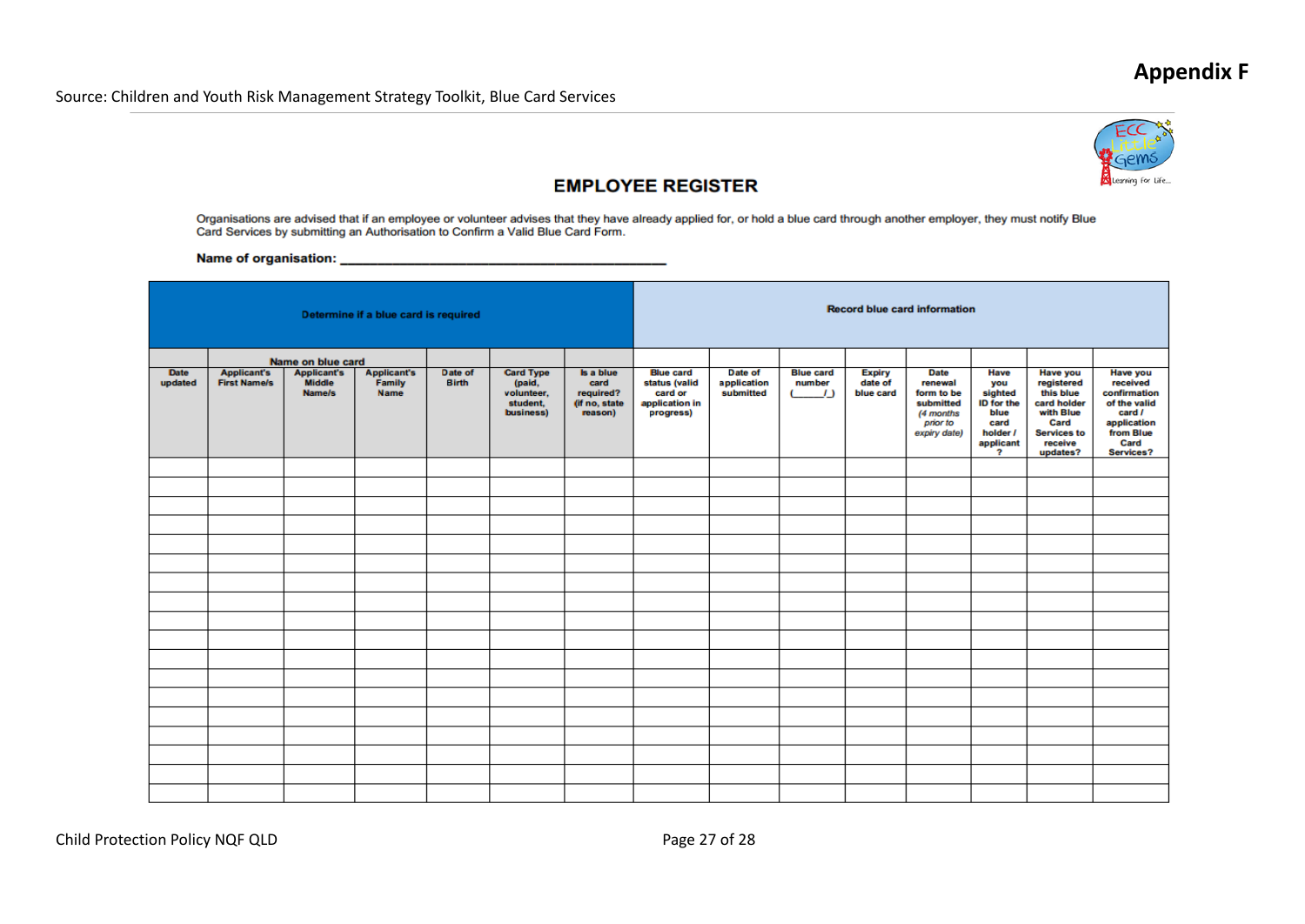# **Appendix F**



### **EMPLOYEE REGISTER**

Organisations are advised that if an employee or volunteer advises that they have already applied for, or hold a blue card through another employer, they must notify Blue<br>Card Services by submitting an Authorisation to Con

Name of organisation: Name of organisation:

| Determine if a blue card is required |                                           |                                                                    |                                             |                         |                                                                   | <b>Record blue card information</b>                        |                                                                             |                                     |                                                                  |                                       |                                                                                            |                                                                                                                 |                                                                                                                             |                                                                                                                        |
|--------------------------------------|-------------------------------------------|--------------------------------------------------------------------|---------------------------------------------|-------------------------|-------------------------------------------------------------------|------------------------------------------------------------|-----------------------------------------------------------------------------|-------------------------------------|------------------------------------------------------------------|---------------------------------------|--------------------------------------------------------------------------------------------|-----------------------------------------------------------------------------------------------------------------|-----------------------------------------------------------------------------------------------------------------------------|------------------------------------------------------------------------------------------------------------------------|
| <b>Date</b><br>updated               | <b>Applicant's</b><br><b>First Name/s</b> | Name on blue card<br><b>Applicant's</b><br><b>Middle</b><br>Name/s | <b>Applicant's</b><br>Family<br><b>Name</b> | Date of<br><b>Birth</b> | <b>Card Type</b><br>(paid,<br>volunteer,<br>student,<br>business) | Is a blue<br>card<br>required?<br>(if no, state<br>reason) | <b>Blue card</b><br>status (valid<br>card or<br>application in<br>progress) | Date of<br>application<br>submitted | <b>Blue card</b><br>number<br><b>C</b><br>$\left  \cdot \right $ | <b>Expiry</b><br>date of<br>blue card | <b>Date</b><br>renewal<br>form to be<br>submitted<br>(4 months<br>prior to<br>expiry date) | Have<br>you<br>sighted<br><b>ID</b> for the<br>blue<br>card<br>holder /<br>applicant<br>$\overline{\mathbf{z}}$ | <b>Have you</b><br>registered<br>this blue<br>card holder<br>with Blue<br>Card<br><b>Services to</b><br>receive<br>updates? | <b>Have you</b><br>received<br>confirmation<br>of the valid<br>card /<br>application<br>from Blue<br>Card<br>Services? |
|                                      |                                           |                                                                    |                                             |                         |                                                                   |                                                            |                                                                             |                                     |                                                                  |                                       |                                                                                            |                                                                                                                 |                                                                                                                             |                                                                                                                        |
|                                      |                                           |                                                                    |                                             |                         |                                                                   |                                                            |                                                                             |                                     |                                                                  |                                       |                                                                                            |                                                                                                                 |                                                                                                                             |                                                                                                                        |
|                                      |                                           |                                                                    |                                             |                         |                                                                   |                                                            |                                                                             |                                     |                                                                  |                                       |                                                                                            |                                                                                                                 |                                                                                                                             |                                                                                                                        |
|                                      |                                           |                                                                    |                                             |                         |                                                                   |                                                            |                                                                             |                                     |                                                                  |                                       |                                                                                            |                                                                                                                 |                                                                                                                             |                                                                                                                        |
|                                      |                                           |                                                                    |                                             |                         |                                                                   |                                                            |                                                                             |                                     |                                                                  |                                       |                                                                                            |                                                                                                                 |                                                                                                                             |                                                                                                                        |
|                                      |                                           |                                                                    |                                             |                         |                                                                   |                                                            |                                                                             |                                     |                                                                  |                                       |                                                                                            |                                                                                                                 |                                                                                                                             |                                                                                                                        |
|                                      |                                           |                                                                    |                                             |                         |                                                                   |                                                            |                                                                             |                                     |                                                                  |                                       |                                                                                            |                                                                                                                 |                                                                                                                             |                                                                                                                        |
|                                      |                                           |                                                                    |                                             |                         |                                                                   |                                                            |                                                                             |                                     |                                                                  |                                       |                                                                                            |                                                                                                                 |                                                                                                                             |                                                                                                                        |
|                                      |                                           |                                                                    |                                             |                         |                                                                   |                                                            |                                                                             |                                     |                                                                  |                                       |                                                                                            |                                                                                                                 |                                                                                                                             |                                                                                                                        |
|                                      |                                           |                                                                    |                                             |                         |                                                                   |                                                            |                                                                             |                                     |                                                                  |                                       |                                                                                            |                                                                                                                 |                                                                                                                             |                                                                                                                        |
|                                      |                                           |                                                                    |                                             |                         |                                                                   |                                                            |                                                                             |                                     |                                                                  |                                       |                                                                                            |                                                                                                                 |                                                                                                                             |                                                                                                                        |
|                                      |                                           |                                                                    |                                             |                         |                                                                   |                                                            |                                                                             |                                     |                                                                  |                                       |                                                                                            |                                                                                                                 |                                                                                                                             |                                                                                                                        |
|                                      |                                           |                                                                    |                                             |                         |                                                                   |                                                            |                                                                             |                                     |                                                                  |                                       |                                                                                            |                                                                                                                 |                                                                                                                             |                                                                                                                        |
|                                      |                                           |                                                                    |                                             |                         |                                                                   |                                                            |                                                                             |                                     |                                                                  |                                       |                                                                                            |                                                                                                                 |                                                                                                                             |                                                                                                                        |
|                                      |                                           |                                                                    |                                             |                         |                                                                   |                                                            |                                                                             |                                     |                                                                  |                                       |                                                                                            |                                                                                                                 |                                                                                                                             |                                                                                                                        |
|                                      |                                           |                                                                    |                                             |                         |                                                                   |                                                            |                                                                             |                                     |                                                                  |                                       |                                                                                            |                                                                                                                 |                                                                                                                             |                                                                                                                        |

Child Protection Policy NQF QLD **Page 27 of 28**